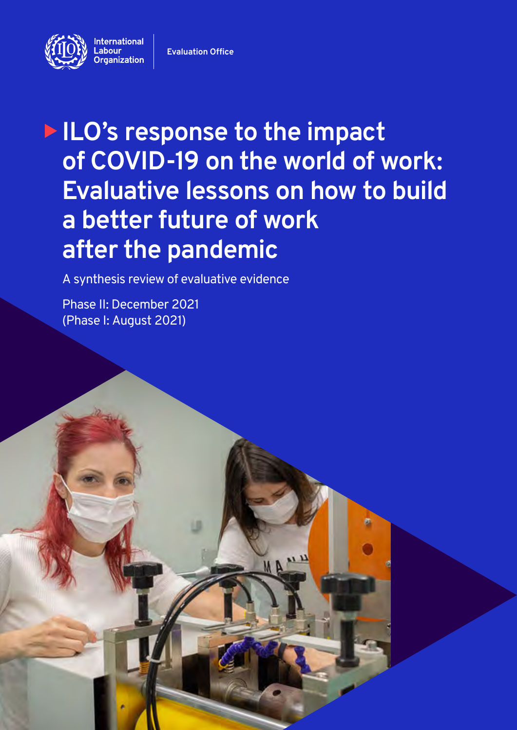

**Evaluation Office**

# **ILO's response to the impact of COVID-19 on the world of work: Evaluative lessons on how to build a better future of work after the pandemic**

**MA** 

A synthesis review of evaluative evidence

Phase II: December 2021 (Phase I: August 2021)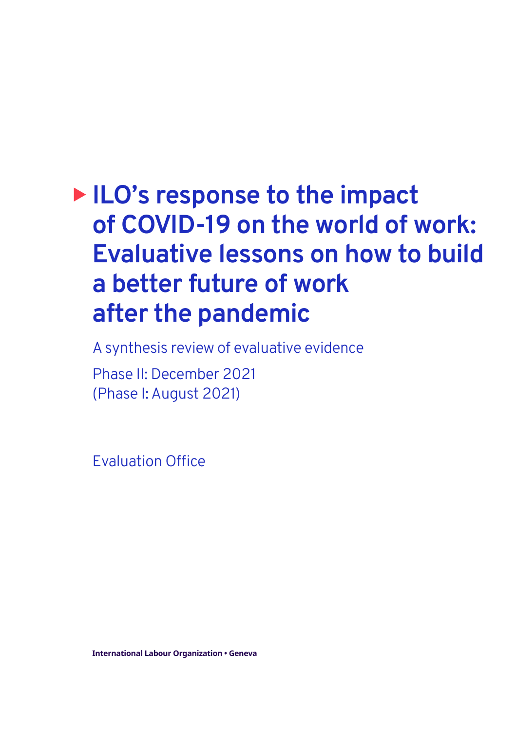# **ILO's response to the impact of COVID-19 on the world of work: Evaluative lessons on how to build a better future of work after the pandemic**

A synthesis review of evaluative evidence

Phase II: December 2021 (Phase I: August 2021)

Evaluation Office

**International Labour Organization • Geneva**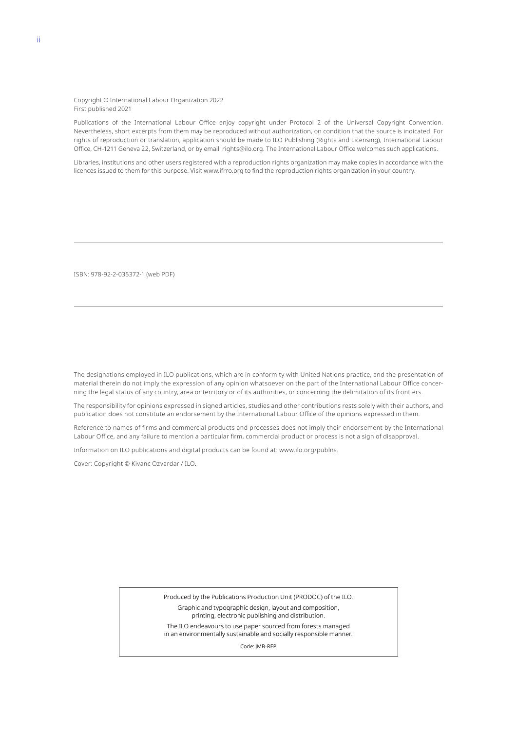#### Copyright © International Labour Organization 2022 First published 2021

Publications of the International Labour Office enjoy copyright under Protocol 2 of the Universal Copyright Convention. Nevertheless, short excerpts from them may be reproduced without authorization, on condition that the source is indicated. For rights of reproduction or translation, application should be made to ILO Publishing (Rights and Licensing), International Labour Office, CH-1211 Geneva 22, Switzerland, or by email: rights@ilo.org. The International Labour Office welcomes such applications.

Libraries, institutions and other users registered with a reproduction rights organization may make copies in accordance with the licences issued to them for this purpose. Visit www.ifrro.org to find the reproduction rights organization in your country.

ISBN: 978-92-2-035372-1 (web PDF)

The designations employed in ILO publications, which are in conformity with United Nations practice, and the presentation of material therein do not imply the expression of any opinion whatsoever on the part of the International Labour Office concerning the legal status of any country, area or territory or of its authorities, or concerning the delimitation of its frontiers.

The responsibility for opinions expressed in signed articles, studies and other contributions rests solely with their authors, and publication does not constitute an endorsement by the International Labour Office of the opinions expressed in them.

Reference to names of firms and commercial products and processes does not imply their endorsement by the International Labour Office, and any failure to mention a particular firm, commercial product or process is not a sign of disapproval.

Information on ILO publications and digital products can be found at: www.ilo.org/publns.

Cover: Copyright © Kivanc Ozvardar / ILO.

Produced by the Publications Production Unit (PRODOC) of the ILO. Graphic and typographic design, layout and composition, printing, electronic publishing and distribution.

The ILO endeavours to use paper sourced from forests managed in an environmentally sustainable and socially responsible manner.

Code: JMB-REP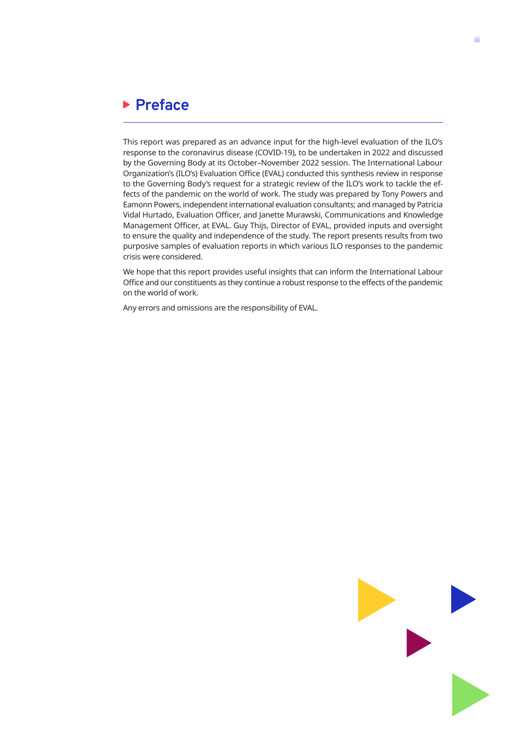## <span id="page-3-0"></span>**Preface**

This report was prepared as an advance input for the high-level evaluation of the ILO's response to the coronavirus disease (COVID-19), to be undertaken in 2022 and discussed by the Governing Body at its October–November 2022 session. The International Labour Organization's (ILO's) Evaluation Office (EVAL) conducted this synthesis review in response to the Governing Body's request for a strategic review of the ILO's work to tackle the effects of the pandemic on the world of work. The study was prepared by Tony Powers and Eamonn Powers, independent international evaluation consultants; and managed by Patricia Vidal Hurtado, Evaluation Officer, and Janette Murawski, Communications and Knowledge Management Officer, at EVAL. Guy Thijs, Director of EVAL, provided inputs and oversight to ensure the quality and independence of the study. The report presents results from two purposive samples of evaluation reports in which various ILO responses to the pandemic crisis were considered.

We hope that this report provides useful insights that can inform the International Labour Office and our constituents as they continue a robust response to the effects of the pandemic on the world of work.

Any errors and omissions are the responsibility of EVAL.

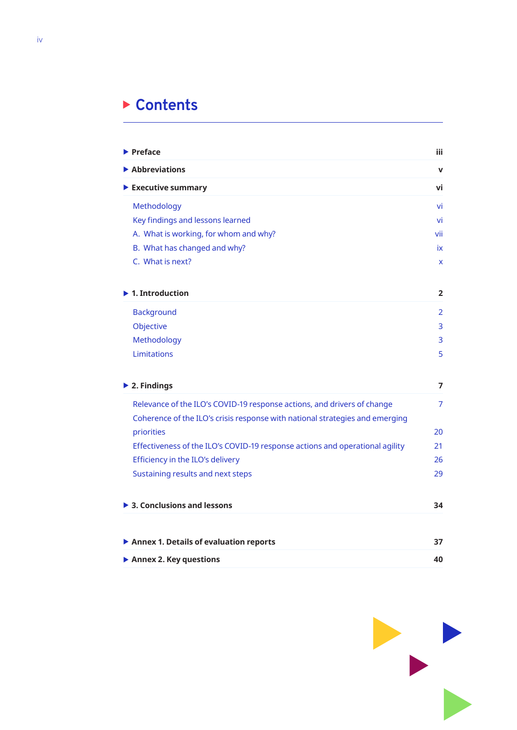## **Contents**

| $\blacktriangleright$ Preface                                                | iii.           |
|------------------------------------------------------------------------------|----------------|
| $\blacktriangleright$ Abbreviations                                          | $\mathbf v$    |
| $\blacktriangleright$ Executive summary                                      | vi             |
| Methodology                                                                  | vi             |
| Key findings and lessons learned                                             | vi             |
| A. What is working, for whom and why?                                        | vii            |
| B. What has changed and why?                                                 | ix             |
| C. What is next?                                                             | X              |
| $\blacktriangleright$ 1. Introduction                                        | $\overline{2}$ |
| <b>Background</b>                                                            | $\overline{2}$ |
| Objective                                                                    | 3              |
| Methodology                                                                  | 3              |
| Limitations                                                                  | 5              |
| $\blacktriangleright$ 2. Findings                                            | 7              |
| Relevance of the ILO's COVID-19 response actions, and drivers of change      | 7              |
| Coherence of the ILO's crisis response with national strategies and emerging |                |
| priorities                                                                   | 20             |
| Effectiveness of the ILO's COVID-19 response actions and operational agility | 21             |
| Efficiency in the ILO's delivery                                             | 26             |
| Sustaining results and next steps                                            | 29             |
| $\triangleright$ 3. Conclusions and lessons                                  | 34             |
|                                                                              |                |
| Annex 1. Details of evaluation reports                                       | 37             |
| Annex 2. Key questions                                                       | 40             |

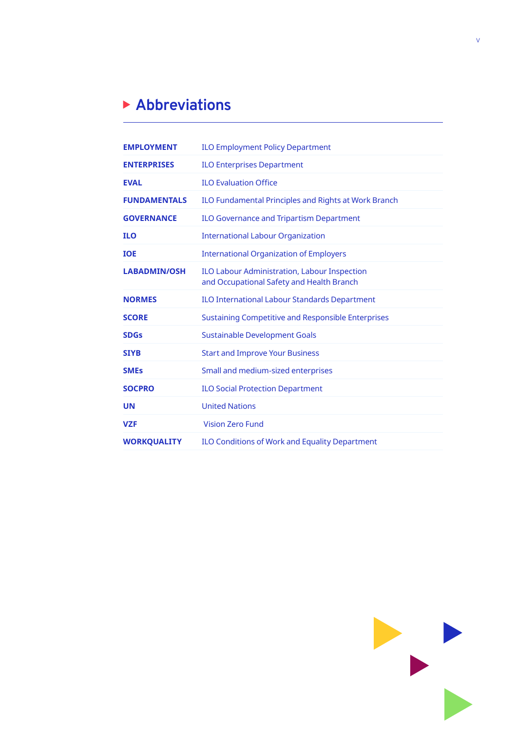## <span id="page-5-0"></span>**Abbreviations**

| <b>EMPLOYMENT</b>   | <b>ILO Employment Policy Department</b>                                                   |
|---------------------|-------------------------------------------------------------------------------------------|
| <b>ENTERPRISES</b>  | <b>ILO Enterprises Department</b>                                                         |
| <b>EVAL</b>         | <b>ILO Evaluation Office</b>                                                              |
| <b>FUNDAMENTALS</b> | ILO Fundamental Principles and Rights at Work Branch                                      |
| <b>GOVERNANCE</b>   | ILO Governance and Tripartism Department                                                  |
| <b>ILO</b>          | <b>International Labour Organization</b>                                                  |
| <b>IOE</b>          | <b>International Organization of Employers</b>                                            |
| <b>LABADMIN/OSH</b> | ILO Labour Administration, Labour Inspection<br>and Occupational Safety and Health Branch |
| <b>NORMES</b>       | <b>ILO International Labour Standards Department</b>                                      |
| <b>SCORE</b>        | Sustaining Competitive and Responsible Enterprises                                        |
| <b>SDGs</b>         | <b>Sustainable Development Goals</b>                                                      |
| <b>SIYB</b>         | <b>Start and Improve Your Business</b>                                                    |
| <b>SMEs</b>         | Small and medium-sized enterprises                                                        |
| <b>SOCPRO</b>       | <b>ILO Social Protection Department</b>                                                   |
| <b>UN</b>           | <b>United Nations</b>                                                                     |
| <b>VZF</b>          | <b>Vision Zero Fund</b>                                                                   |
| <b>WORKQUALITY</b>  | <b>ILO Conditions of Work and Equality Department</b>                                     |

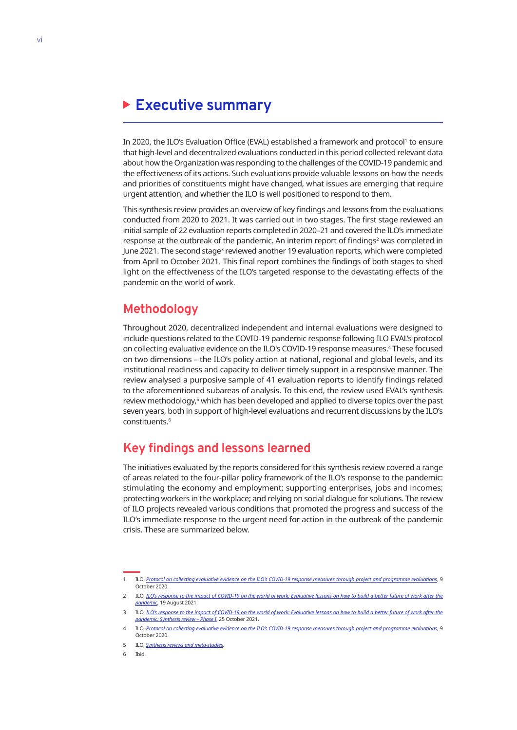## <span id="page-6-0"></span>**Executive summary**

In 2020, the ILO's Evaluation Office (EVAL) established a framework and protocol' to ensure that high-level and decentralized evaluations conducted in this period collected relevant data about how the Organization was responding to the challenges of the COVID-19 pandemic and the effectiveness of its actions. Such evaluations provide valuable lessons on how the needs and priorities of constituents might have changed, what issues are emerging that require urgent attention, and whether the ILO is well positioned to respond to them.

This synthesis review provides an overview of key findings and lessons from the evaluations conducted from 2020 to 2021. It was carried out in two stages. The first stage reviewed an initial sample of 22 evaluation reports completed in 2020–21 and covered the ILO's immediate response at the outbreak of the pandemic. An interim report of findings<sup>2</sup> was completed in June 2021. The second stage<sup>3</sup> reviewed another 19 evaluation reports, which were completed from April to October 2021. This final report combines the findings of both stages to shed light on the effectiveness of the ILO's targeted response to the devastating effects of the pandemic on the world of work.

## **Methodology**

Throughout 2020, decentralized independent and internal evaluations were designed to include questions related to the COVID-19 pandemic response following ILO EVAL's protocol on collecting evaluative evidence on the ILO's COVID-19 response measures.4 These focused on two dimensions – the ILO's policy action at national, regional and global levels, and its institutional readiness and capacity to deliver timely support in a responsive manner. The review analysed a purposive sample of 41 evaluation reports to identify findings related to the aforementioned subareas of analysis. To this end, the review used EVAL's synthesis review methodology,<sup>5</sup> which has been developed and applied to diverse topics over the past seven years, both in support of high-level evaluations and recurrent discussions by the ILO's constituents.6

## **Key findings and lessons learned**

The initiatives evaluated by the reports considered for this synthesis review covered a range of areas related to the four-pillar policy framework of the ILO's response to the pandemic: stimulating the economy and employment; supporting enterprises, jobs and incomes; protecting workers in the workplace; and relying on social dialogue for solutions. The review of ILO projects revealed various conditions that promoted the progress and success of the ILO's immediate response to the urgent need for action in the outbreak of the pandemic crisis. These are summarized below.

<sup>1</sup> ILO, *[Protocol on collecting evaluative evidence on the ILO's COVID-19 response measures through project and programme evaluations](https://www.ilo.org/wcmsp5/groups/public/---ed_mas/---eval/documents/publication/wcms_757541.pdf)*, 9 October 2020.

<sup>2</sup> ILO, *[ILO's response to the impact of COVID-19 on the world of work: Evaluative lessons on how to build a better future of work after the](https://www.ilo.org/eval/WCMS_817079/lang--en/index.htm) [pandemic](https://www.ilo.org/eval/WCMS_817079/lang--en/index.htm)*, 19 August 2021.

<sup>3</sup> ILO, *[ILO's response to the impact of COVID-19 on the world of work: Evaluative lessons on how to build a better future of work after the](https://www.ilo.org/global/docs/WCMS_824659/lang--en/index.htm) [pandemic: Synthesis review – Phase I](https://www.ilo.org/global/docs/WCMS_824659/lang--en/index.htm)*, 25 October 2021.

<sup>4</sup> ILO, *[Protocol on collecting evaluative evidence on the ILO's COVID-19 response measures through project and programme evaluations](https://www.ilo.org/wcmsp5/groups/public/---ed_mas/---eval/documents/publication/wcms_757541.pdf)*, 9 October 2020.

<sup>5</sup> ILO, *[Synthesis reviews and meta-studies](https://www.ilo.org/eval/synthesis-and-meta/lang--en/index.htm)*.

<sup>6</sup> Ibid.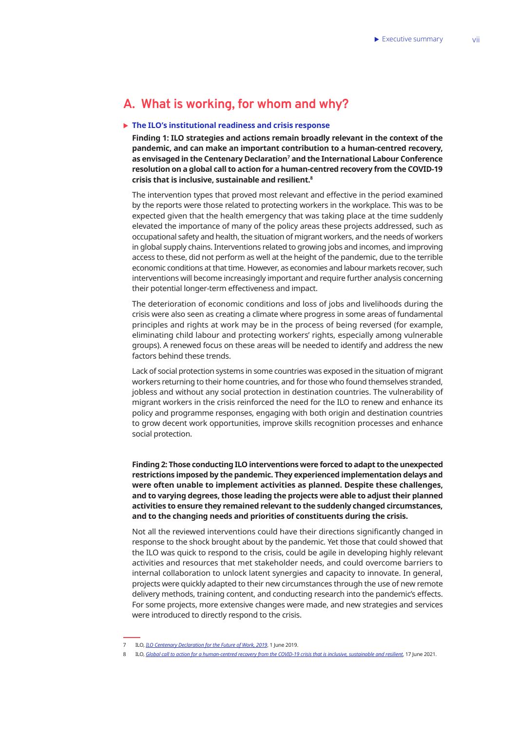## <span id="page-7-0"></span>**A. What is working, for whom and why?**

### ▶ The ILO's institutional readiness and crisis response

**Finding 1: ILO strategies and actions remain broadly relevant in the context of the pandemic, and can make an important contribution to a human-centred recovery, as envisaged in the Centenary Declaration7 and the International Labour Conference resolution on a global call to action for a human-centred recovery from the COVID-19 crisis that is inclusive, sustainable and resilient.8**

The intervention types that proved most relevant and effective in the period examined by the reports were those related to protecting workers in the workplace. This was to be expected given that the health emergency that was taking place at the time suddenly elevated the importance of many of the policy areas these projects addressed, such as occupational safety and health, the situation of migrant workers, and the needs of workers in global supply chains. Interventions related to growing jobs and incomes, and improving access to these, did not perform as well at the height of the pandemic, due to the terrible economic conditions at that time. However, as economies and labour markets recover, such interventions will become increasingly important and require further analysis concerning their potential longer-term effectiveness and impact.

The deterioration of economic conditions and loss of jobs and livelihoods during the crisis were also seen as creating a climate where progress in some areas of fundamental principles and rights at work may be in the process of being reversed (for example, eliminating child labour and protecting workers' rights, especially among vulnerable groups). A renewed focus on these areas will be needed to identify and address the new factors behind these trends.

Lack of social protection systems in some countries was exposed in the situation of migrant workers returning to their home countries, and for those who found themselves stranded, jobless and without any social protection in destination countries. The vulnerability of migrant workers in the crisis reinforced the need for the ILO to renew and enhance its policy and programme responses, engaging with both origin and destination countries to grow decent work opportunities, improve skills recognition processes and enhance social protection.

**Finding 2: Those conducting ILO interventions were forced to adapt to the unexpected restrictions imposed by the pandemic. They experienced implementation delays and were often unable to implement activities as planned. Despite these challenges, and to varying degrees, those leading the projects were able to adjust their planned activities to ensure they remained relevant to the suddenly changed circumstances, and to the changing needs and priorities of constituents during the crisis.**

Not all the reviewed interventions could have their directions significantly changed in response to the shock brought about by the pandemic. Yet those that could showed that the ILO was quick to respond to the crisis, could be agile in developing highly relevant activities and resources that met stakeholder needs, and could overcome barriers to internal collaboration to unlock latent synergies and capacity to innovate. In general, projects were quickly adapted to their new circumstances through the use of new remote delivery methods, training content, and conducting research into the pandemic's effects. For some projects, more extensive changes were made, and new strategies and services were introduced to directly respond to the crisis.

<sup>7</sup> ILO, *[ILO Centenary Declaration for the Future of Work, 2019](https://www.ilo.org/global/about-the-ilo/mission-and-objectives/centenary-declaration/lang--en/index.htm)*, 1 June 2019.

<sup>8</sup> ILO, *[Global call to action for a human-centred recovery from the COVID-19 crisis that is inclusive, sustainable and resilient](https://www.ilo.org/ilc/ILCSessions/109/reports/texts-adopted/WCMS_806092/lang--en/index.htm)*, 17 June 2021.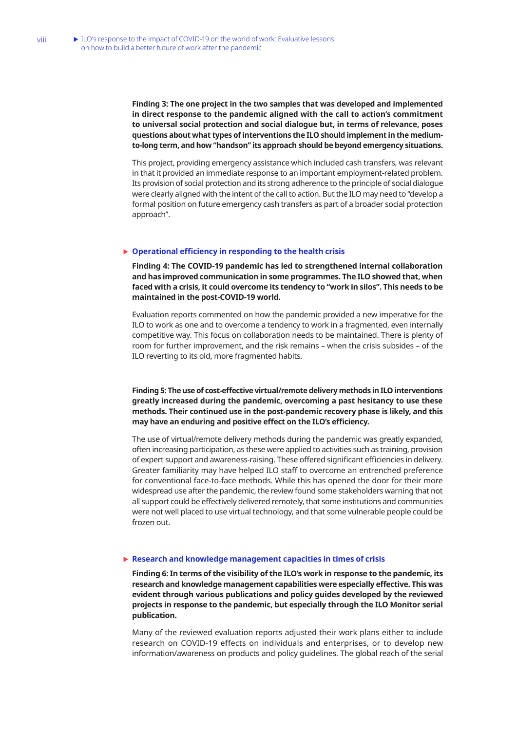**Finding 3: The one project in the two samples that was developed and implemented in direct response to the pandemic aligned with the call to action's commitment to universal social protection and social dialogue but, in terms of relevance, poses questions about what types of interventions the ILO should implement in the mediumto-long term, and how "handson" its approach should be beyond emergency situations.**

This project, providing emergency assistance which included cash transfers, was relevant in that it provided an immediate response to an important employment-related problem. Its provision of social protection and its strong adherence to the principle of social dialogue were clearly aligned with the intent of the call to action. But the ILO may need to "develop a formal position on future emergency cash transfers as part of a broader social protection approach".

#### ▶ Operational efficiency in responding to the health crisis

**Finding 4: The COVID-19 pandemic has led to strengthened internal collaboration and has improved communication in some programmes. The ILO showed that, when faced with a crisis, it could overcome its tendency to "work in silos". This needs to be maintained in the post-COVID-19 world.**

Evaluation reports commented on how the pandemic provided a new imperative for the ILO to work as one and to overcome a tendency to work in a fragmented, even internally competitive way. This focus on collaboration needs to be maintained. There is plenty of room for further improvement, and the risk remains – when the crisis subsides – of the ILO reverting to its old, more fragmented habits.

**Finding 5: The use of cost-effective virtual/remote delivery methods in ILO interventions greatly increased during the pandemic, overcoming a past hesitancy to use these methods. Their continued use in the post-pandemic recovery phase is likely, and this may have an enduring and positive effect on the ILO's efficiency.**

The use of virtual/remote delivery methods during the pandemic was greatly expanded, often increasing participation, as these were applied to activities such as training, provision of expert support and awareness-raising. These offered significant efficiencies in delivery. Greater familiarity may have helped ILO staff to overcome an entrenched preference for conventional face-to-face methods. While this has opened the door for their more widespread use after the pandemic, the review found some stakeholders warning that not all support could be effectively delivered remotely, that some institutions and communities were not well placed to use virtual technology, and that some vulnerable people could be frozen out.

#### ▶ Research and knowledge management capacities in times of crisis

**Finding 6: In terms of the visibility of the ILO's work in response to the pandemic, its research and knowledge management capabilities were especially effective. This was evident through various publications and policy guides developed by the reviewed projects in response to the pandemic, but especially through the ILO Monitor serial publication.**

Many of the reviewed evaluation reports adjusted their work plans either to include research on COVID-19 effects on individuals and enterprises, or to develop new information/awareness on products and policy guidelines. The global reach of the serial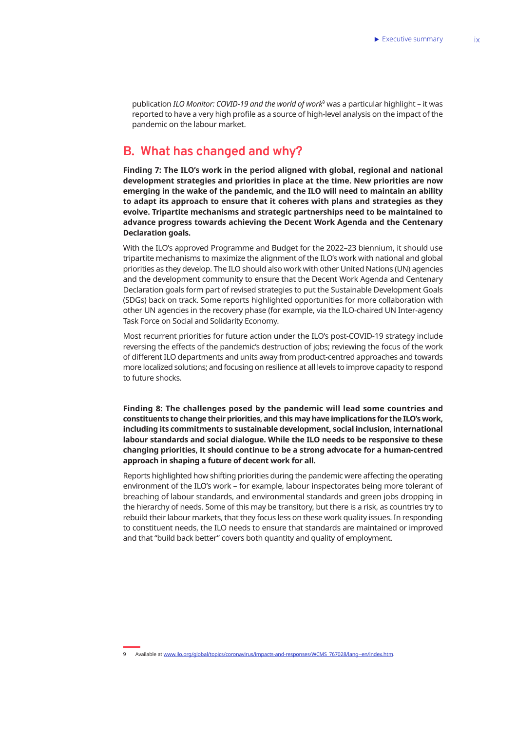<span id="page-9-0"></span>publication *ILO Monitor: COVID-19 and the world of work*<sup>9</sup> was a particular highlight – it was reported to have a very high profile as a source of high-level analysis on the impact of the pandemic on the labour market.

## **B. What has changed and why?**

**Finding 7: The ILO's work in the period aligned with global, regional and national development strategies and priorities in place at the time. New priorities are now emerging in the wake of the pandemic, and the ILO will need to maintain an ability to adapt its approach to ensure that it coheres with plans and strategies as they evolve. Tripartite mechanisms and strategic partnerships need to be maintained to advance progress towards achieving the Decent Work Agenda and the Centenary Declaration goals.** 

With the ILO's approved Programme and Budget for the 2022–23 biennium, it should use tripartite mechanisms to maximize the alignment of the ILO's work with national and global priorities as they develop. The ILO should also work with other United Nations (UN) agencies and the development community to ensure that the Decent Work Agenda and Centenary Declaration goals form part of revised strategies to put the Sustainable Development Goals (SDGs) back on track. Some reports highlighted opportunities for more collaboration with other UN agencies in the recovery phase (for example, via the ILO-chaired UN Inter-agency Task Force on Social and Solidarity Economy.

Most recurrent priorities for future action under the ILO's post-COVID-19 strategy include reversing the effects of the pandemic's destruction of jobs; reviewing the focus of the work of different ILO departments and units away from product-centred approaches and towards more localized solutions; and focusing on resilience at all levels to improve capacity to respond to future shocks.

**Finding 8: The challenges posed by the pandemic will lead some countries and constituents to change their priorities, and this may have implications for the ILO's work, including its commitments to sustainable development, social inclusion, international labour standards and social dialogue. While the ILO needs to be responsive to these changing priorities, it should continue to be a strong advocate for a human-centred approach in shaping a future of decent work for all.**

Reports highlighted how shifting priorities during the pandemic were affecting the operating environment of the ILO's work – for example, labour inspectorates being more tolerant of breaching of labour standards, and environmental standards and green jobs dropping in the hierarchy of needs. Some of this may be transitory, but there is a risk, as countries try to rebuild their labour markets, that they focus less on these work quality issues. In responding to constituent needs, the ILO needs to ensure that standards are maintained or improved and that "build back better" covers both quantity and quality of employment.

<sup>9</sup> Available at [www.ilo.org/global/topics/coronavirus/impacts-and-responses/WCMS\\_767028/lang--en/index.htm](http://www.ilo.org/global/topics/coronavirus/impacts-and-responses/WCMS_767028/lang--en/index.htm).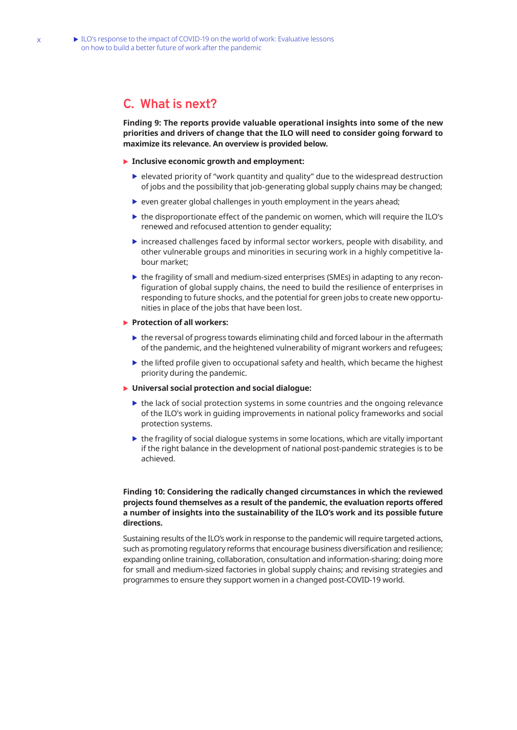## <span id="page-10-0"></span>**C. What is next?**

**Finding 9: The reports provide valuable operational insights into some of the new priorities and drivers of change that the ILO will need to consider going forward to maximize its relevance. An overview is provided below.**

### **Inclusive economic growth and employment:**

- $\blacktriangleright$  elevated priority of "work quantity and quality" due to the widespread destruction of jobs and the possibility that job-generating global supply chains may be changed;
- $\triangleright$  even greater global challenges in youth employment in the years ahead;
- $\triangleright$  the disproportionate effect of the pandemic on women, which will require the ILO's renewed and refocused attention to gender equality;
- $\triangleright$  increased challenges faced by informal sector workers, people with disability, and other vulnerable groups and minorities in securing work in a highly competitive labour market;
- $\triangleright$  the fragility of small and medium-sized enterprises (SMEs) in adapting to any reconfiguration of global supply chains, the need to build the resilience of enterprises in responding to future shocks, and the potential for green jobs to create new opportunities in place of the jobs that have been lost.

#### **Protection of all workers:**

- $\triangleright$  the reversal of progress towards eliminating child and forced labour in the aftermath of the pandemic, and the heightened vulnerability of migrant workers and refugees;
- $\triangleright$  the lifted profile given to occupational safety and health, which became the highest priority during the pandemic.

### ▶ Universal social protection and social dialogue:

- $\blacktriangleright$  the lack of social protection systems in some countries and the ongoing relevance of the ILO's work in guiding improvements in national policy frameworks and social protection systems.
- $\triangleright$  the fragility of social dialogue systems in some locations, which are vitally important if the right balance in the development of national post-pandemic strategies is to be achieved.

### **Finding 10: Considering the radically changed circumstances in which the reviewed projects found themselves as a result of the pandemic, the evaluation reports offered a number of insights into the sustainability of the ILO's work and its possible future directions.**

Sustaining results of the ILO's work in response to the pandemic will require targeted actions, such as promoting regulatory reforms that encourage business diversification and resilience; expanding online training, collaboration, consultation and information-sharing; doing more for small and medium-sized factories in global supply chains; and revising strategies and programmes to ensure they support women in a changed post-COVID-19 world.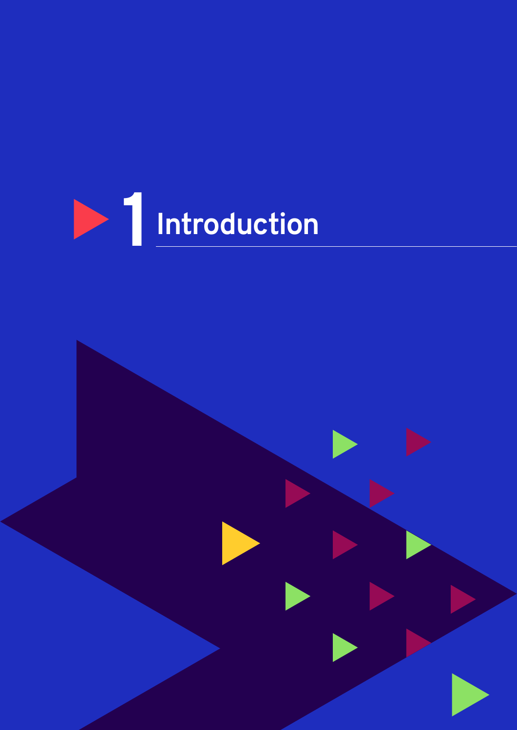

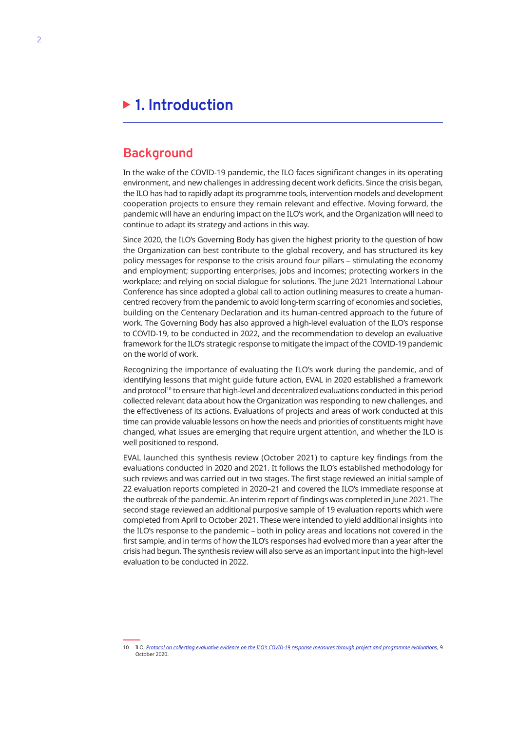## <span id="page-12-0"></span>**1. Introduction**

## **Background**

In the wake of the COVID-19 pandemic, the ILO faces significant changes in its operating environment, and new challenges in addressing decent work deficits. Since the crisis began, the ILO has had to rapidly adapt its programme tools, intervention models and development cooperation projects to ensure they remain relevant and effective. Moving forward, the pandemic will have an enduring impact on the ILO's work, and the Organization will need to continue to adapt its strategy and actions in this way.

Since 2020, the ILO's Governing Body has given the highest priority to the question of how the Organization can best contribute to the global recovery, and has structured its key policy messages for response to the crisis around four pillars – stimulating the economy and employment; supporting enterprises, jobs and incomes; protecting workers in the workplace; and relying on social dialogue for solutions. The June 2021 International Labour Conference has since adopted a global call to action outlining measures to create a humancentred recovery from the pandemic to avoid long-term scarring of economies and societies, building on the Centenary Declaration and its human-centred approach to the future of work. The Governing Body has also approved a high-level evaluation of the ILO's response to COVID-19, to be conducted in 2022, and the recommendation to develop an evaluative framework for the ILO's strategic response to mitigate the impact of the COVID-19 pandemic on the world of work.

Recognizing the importance of evaluating the ILO's work during the pandemic, and of identifying lessons that might guide future action, EVAL in 2020 established a framework and protocol<sup>10</sup> to ensure that high-level and decentralized evaluations conducted in this period collected relevant data about how the Organization was responding to new challenges, and the effectiveness of its actions. Evaluations of projects and areas of work conducted at this time can provide valuable lessons on how the needs and priorities of constituents might have changed, what issues are emerging that require urgent attention, and whether the ILO is well positioned to respond.

EVAL launched this synthesis review (October 2021) to capture key findings from the evaluations conducted in 2020 and 2021. It follows the ILO's established methodology for such reviews and was carried out in two stages. The first stage reviewed an initial sample of 22 evaluation reports completed in 2020–21 and covered the ILO's immediate response at the outbreak of the pandemic. An interim report of findings was completed in June 2021. The second stage reviewed an additional purposive sample of 19 evaluation reports which were completed from April to October 2021. These were intended to yield additional insights into the ILO's response to the pandemic – both in policy areas and locations not covered in the first sample, and in terms of how the ILO's responses had evolved more than a year after the crisis had begun. The synthesis review will also serve as an important input into the high-level evaluation to be conducted in 2022.

<sup>10</sup> ILO, *[Protocol on collecting evaluative evidence on the ILO's COVID-19 response measures through project and programme evaluations](https://www.ilo.org/wcmsp5/groups/public/---ed_mas/---eval/documents/publication/wcms_757541.pdf)*, 9 October 2020.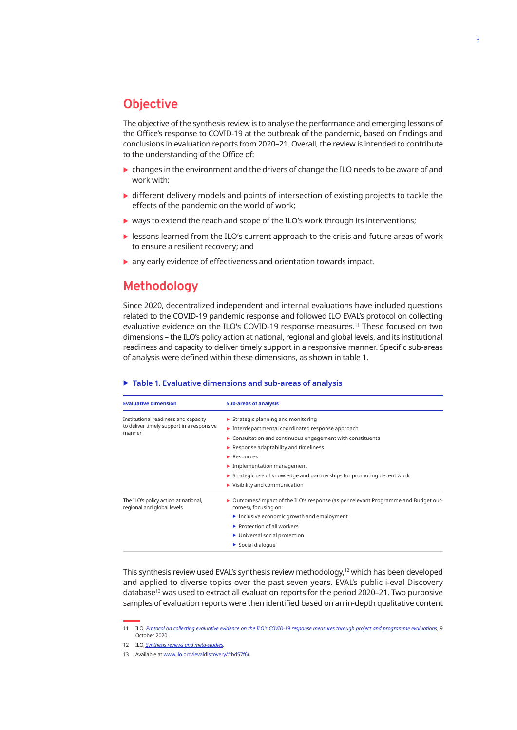## <span id="page-13-0"></span>**Objective**

The objective of the synthesis review is to analyse the performance and emerging lessons of the Office's response to COVID-19 at the outbreak of the pandemic, based on findings and conclusions in evaluation reports from 2020–21. Overall, the review is intended to contribute to the understanding of the Office of:

- $\triangleright$  changes in the environment and the drivers of change the ILO needs to be aware of and work with;
- $\triangleright$  different delivery models and points of intersection of existing projects to tackle the effects of the pandemic on the world of work;
- $\triangleright$  ways to extend the reach and scope of the ILO's work through its interventions;
- $\blacktriangleright$  lessons learned from the ILO's current approach to the crisis and future areas of work to ensure a resilient recovery; and
- $\triangleright$  any early evidence of effectiveness and orientation towards impact.

## **Methodology**

Since 2020, decentralized independent and internal evaluations have included questions related to the COVID-19 pandemic response and followed ILO EVAL's protocol on collecting evaluative evidence on the ILO's COVID-19 response measures.<sup>11</sup> These focused on two dimensions – the ILO's policy action at national, regional and global levels, and its institutional readiness and capacity to deliver timely support in a responsive manner. Specific sub-areas of analysis were defined within these dimensions, as shown in table 1.

#### ▶ Table 1. Evaluative dimensions and sub-areas of analysis

| <b>Evaluative dimension</b>                                        | <b>Sub-areas of analysis</b>                                                                                              |  |  |  |  |  |
|--------------------------------------------------------------------|---------------------------------------------------------------------------------------------------------------------------|--|--|--|--|--|
| Institutional readiness and capacity                               | $\triangleright$ Strategic planning and monitoring                                                                        |  |  |  |  |  |
| to deliver timely support in a responsive                          | $\blacktriangleright$ Interdepartmental coordinated response approach                                                     |  |  |  |  |  |
| manner                                                             | • Consultation and continuous engagement with constituents                                                                |  |  |  |  |  |
|                                                                    | $\blacktriangleright$ Response adaptability and timeliness                                                                |  |  |  |  |  |
|                                                                    | $\blacktriangleright$ Resources                                                                                           |  |  |  |  |  |
|                                                                    | $\blacktriangleright$ Implementation management                                                                           |  |  |  |  |  |
|                                                                    | $\triangleright$ Strategic use of knowledge and partnerships for promoting decent work                                    |  |  |  |  |  |
|                                                                    | $\blacktriangleright$ Visibility and communication                                                                        |  |  |  |  |  |
| The ILO's policy action at national,<br>regional and global levels | $\triangleright$ Outcomes/impact of the ILO's response (as per relevant Programme and Budget out-<br>comes), focusing on: |  |  |  |  |  |
|                                                                    | Inclusive economic growth and employment                                                                                  |  |  |  |  |  |
|                                                                    | $\blacktriangleright$ Protection of all workers                                                                           |  |  |  |  |  |
|                                                                    | ▶ Universal social protection                                                                                             |  |  |  |  |  |
|                                                                    | $\triangleright$ Social dialogue                                                                                          |  |  |  |  |  |

This synthesis review used EVAL's synthesis review methodology,<sup>12</sup> which has been developed and applied to diverse topics over the past seven years. EVAL's public i-eval Discovery database<sup>13</sup> was used to extract all evaluation reports for the period 2020-21. Two purposive samples of evaluation reports were then identified based on an in-depth qualitative content

<sup>11</sup> ILO, *[Protocol on collecting evaluative evidence on the ILO's COVID-19 response measures through project and programme evaluations](https://www.ilo.org/wcmsp5/groups/public/---ed_mas/---eval/documents/publication/wcms_757541.pdf)*, 9 October 2020.

<sup>12</sup> ILO, *[Synthesis reviews and meta-studies](https://www.ilo.org/eval/synthesis-and-meta/lang--en/index.htm)*.

<sup>13</sup> Available at [www.ilo.org/ievaldiscovery/#bd57f6r](http://www.ilo.org/ievaldiscovery/#bd57f6r).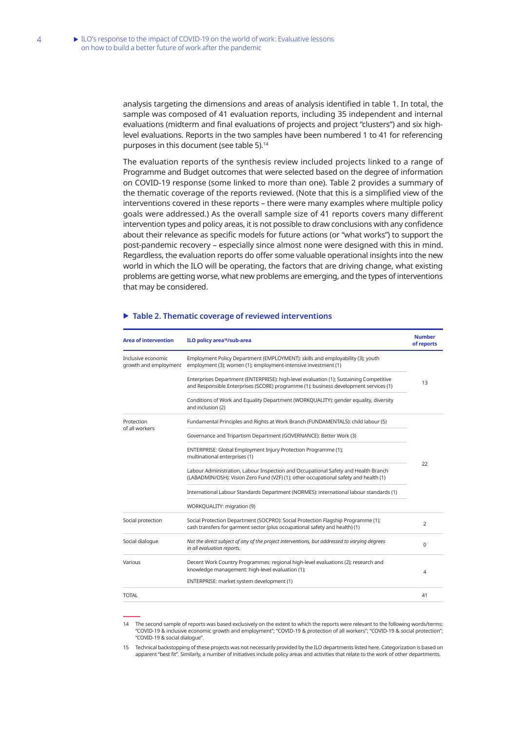analysis targeting the dimensions and areas of analysis identified in table 1. In total, the sample was composed of 41 evaluation reports, including 35 independent and internal evaluations (midterm and final evaluations of projects and project "clusters") and six highlevel evaluations. Reports in the two samples have been numbered 1 to 41 for referencing purposes in this document (see table 5).<sup>14</sup>

The evaluation reports of the synthesis review included projects linked to a range of Programme and Budget outcomes that were selected based on the degree of information on COVID-19 response (some linked to more than one). Table 2 provides a summary of the thematic coverage of the reports reviewed. (Note that this is a simplified view of the interventions covered in these reports – there were many examples where multiple policy goals were addressed.) As the overall sample size of 41 reports covers many different intervention types and policy areas, it is not possible to draw conclusions with any confidence about their relevance as specific models for future actions (or "what works") to support the post-pandemic recovery – especially since almost none were designed with this in mind. Regardless, the evaluation reports do offer some valuable operational insights into the new world in which the ILO will be operating, the factors that are driving change, what existing problems are getting worse, what new problems are emerging, and the types of interventions that may be considered.

| <b>Area of intervention</b>                 | ILO policy area <sup>15</sup> /sub-area                                                                                                                                        | <b>Number</b><br>of reports |  |  |  |  |
|---------------------------------------------|--------------------------------------------------------------------------------------------------------------------------------------------------------------------------------|-----------------------------|--|--|--|--|
| Inclusive economic<br>growth and employment | Employment Policy Department (EMPLOYMENT): skills and employability (3); youth<br>employment (3); women (1); employment-intensive investment (1)                               |                             |  |  |  |  |
|                                             | Enterprises Department (ENTERPRISE): high-level evaluation (1); Sustaining Competitive<br>and Responsible Enterprises (SCORE) programme (1); business development services (1) | 13                          |  |  |  |  |
|                                             | Conditions of Work and Equality Department (WORKQUALITY): gender equality, diversity<br>and inclusion (2)                                                                      |                             |  |  |  |  |
| Protection<br>of all workers                | Fundamental Principles and Rights at Work Branch (FUNDAMENTALS): child labour (5)                                                                                              |                             |  |  |  |  |
|                                             | Governance and Tripartism Department (GOVERNANCE): Better Work (3)                                                                                                             |                             |  |  |  |  |
|                                             | ENTERPRISE: Global Employment Injury Protection Programme (1);<br>multinational enterprises (1)                                                                                |                             |  |  |  |  |
|                                             | Labour Administration, Labour Inspection and Occupational Safety and Health Branch<br>(LABADMIN/OSH): Vision Zero Fund (VZF) (1); other occupational safety and health (1)     | 22                          |  |  |  |  |
|                                             | International Labour Standards Department (NORMES): international labour standards (1)                                                                                         |                             |  |  |  |  |
|                                             | WORKQUALITY: migration (9)                                                                                                                                                     |                             |  |  |  |  |
| Social protection                           | Social Protection Department (SOCPRO): Social Protection Flagship Programme (1);<br>cash transfers for garment sector (plus occupational safety and health) (1)                | $\overline{2}$              |  |  |  |  |
| Social dialogue                             | Not the direct subject of any of the project interventions, but addressed to varying degrees<br>in all evaluation reports.                                                     | $\Omega$                    |  |  |  |  |
| Various                                     | Decent Work Country Programmes: regional high-level evaluations (2); research and<br>knowledge management: high-level evaluation (1);                                          | 4                           |  |  |  |  |
|                                             | ENTERPRISE: market system development (1)                                                                                                                                      |                             |  |  |  |  |
| <b>TOTAL</b>                                |                                                                                                                                                                                | 41                          |  |  |  |  |

#### ▶ Table 2. Thematic coverage of reviewed interventions

14 The second sample of reports was based exclusively on the extent to which the reports were relevant to the following words/terms: "COVID-19 & inclusive economic growth and employment"; "COVID-19 & protection of all workers"; "COVID-19 & social protection"; "COVID-19 & social dialogue".

15 Technical backstopping of these projects was not necessarily provided by the ILO departments listed here. Categorization is based on apparent "best fit". Similarly, a number of initiatives include policy areas and activities that relate to the work of other departments.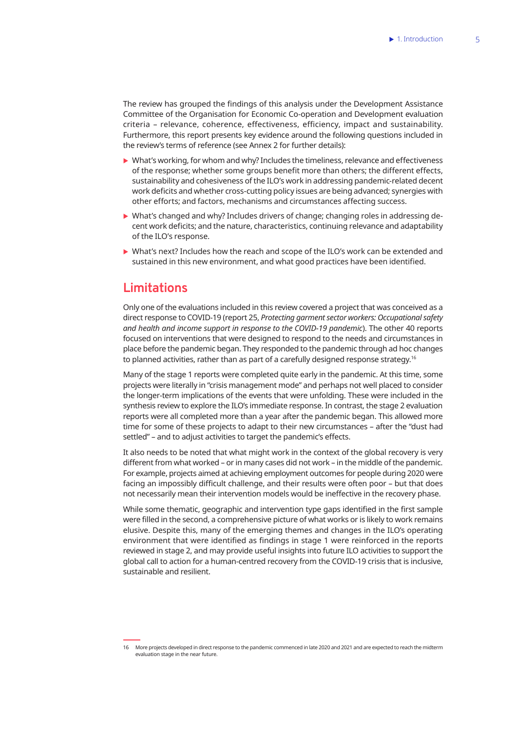<span id="page-15-0"></span>The review has grouped the findings of this analysis under the Development Assistance Committee of the Organisation for Economic Co-operation and Development evaluation criteria – relevance, coherence, effectiveness, efficiency, impact and sustainability. Furthermore, this report presents key evidence around the following questions included in the review's terms of reference (see Annex 2 for further details):

- $\triangleright$  What's working, for whom and why? Includes the timeliness, relevance and effectiveness of the response; whether some groups benefit more than others; the different effects, sustainability and cohesiveness of the ILO's work in addressing pandemic-related decent work deficits and whether cross-cutting policy issues are being advanced; synergies with other efforts; and factors, mechanisms and circumstances affecting success.
- $\triangleright$  What's changed and why? Includes drivers of change; changing roles in addressing decent work deficits; and the nature, characteristics, continuing relevance and adaptability of the ILO's response.
- $\triangleright$  What's next? Includes how the reach and scope of the ILO's work can be extended and sustained in this new environment, and what good practices have been identified.

## **Limitations**

Only one of the evaluations included in this review covered a project that was conceived as a direct response to COVID-19 (report 25, *Protecting garment sector workers: Occupational safety and health and income support in response to the COVID-19 pandemic*). The other 40 reports focused on interventions that were designed to respond to the needs and circumstances in place before the pandemic began. They responded to the pandemic through ad hoc changes to planned activities, rather than as part of a carefully designed response strategy.16

Many of the stage 1 reports were completed quite early in the pandemic. At this time, some projects were literally in "crisis management mode" and perhaps not well placed to consider the longer-term implications of the events that were unfolding. These were included in the synthesis review to explore the ILO's immediate response. In contrast, the stage 2 evaluation reports were all completed more than a year after the pandemic began. This allowed more time for some of these projects to adapt to their new circumstances – after the "dust had settled" – and to adjust activities to target the pandemic's effects.

It also needs to be noted that what might work in the context of the global recovery is very different from what worked – or in many cases did not work – in the middle of the pandemic. For example, projects aimed at achieving employment outcomes for people during 2020 were facing an impossibly difficult challenge, and their results were often poor – but that does not necessarily mean their intervention models would be ineffective in the recovery phase.

While some thematic, geographic and intervention type gaps identified in the first sample were filled in the second, a comprehensive picture of what works or is likely to work remains elusive. Despite this, many of the emerging themes and changes in the ILO's operating environment that were identified as findings in stage 1 were reinforced in the reports reviewed in stage 2, and may provide useful insights into future ILO activities to support the global call to action for a human-centred recovery from the COVID-19 crisis that is inclusive, sustainable and resilient.

<sup>16</sup> More projects developed in direct response to the pandemic commenced in late 2020 and 2021 and are expected to reach the midterm evaluation stage in the near future.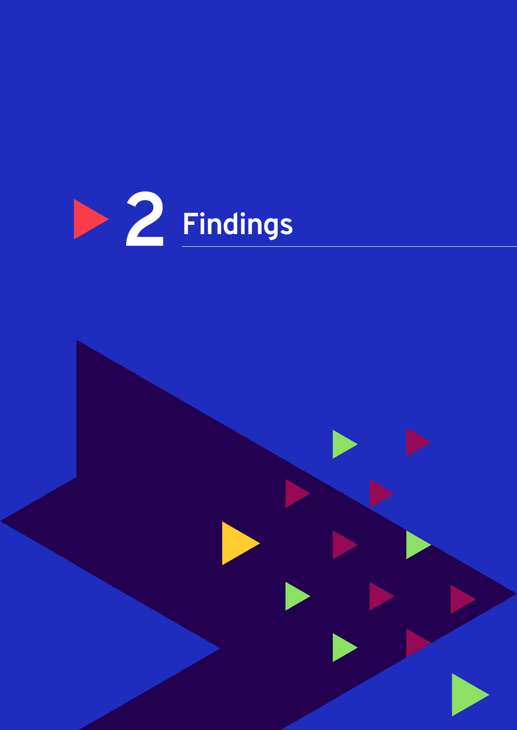

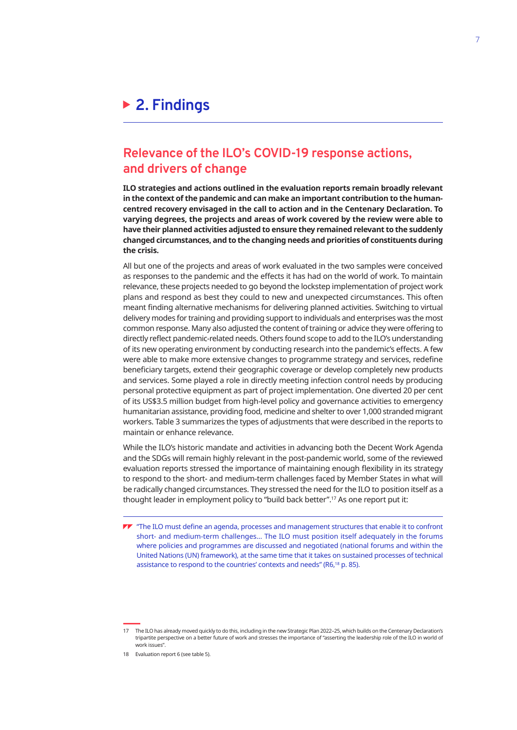## <span id="page-17-0"></span>**2. Findings**

## **Relevance of the ILO's COVID-19 response actions, and drivers of change**

**ILO strategies and actions outlined in the evaluation reports remain broadly relevant in the context of the pandemic and can make an important contribution to the humancentred recovery envisaged in the call to action and in the Centenary Declaration. To varying degrees, the projects and areas of work covered by the review were able to have their planned activities adjusted to ensure they remained relevant to the suddenly changed circumstances, and to the changing needs and priorities of constituents during the crisis.**

All but one of the projects and areas of work evaluated in the two samples were conceived as responses to the pandemic and the effects it has had on the world of work. To maintain relevance, these projects needed to go beyond the lockstep implementation of project work plans and respond as best they could to new and unexpected circumstances. This often meant finding alternative mechanisms for delivering planned activities. Switching to virtual delivery modes for training and providing support to individuals and enterprises was the most common response. Many also adjusted the content of training or advice they were offering to directly reflect pandemic-related needs. Others found scope to add to the ILO's understanding of its new operating environment by conducting research into the pandemic's effects. A few were able to make more extensive changes to programme strategy and services, redefine beneficiary targets, extend their geographic coverage or develop completely new products and services. Some played a role in directly meeting infection control needs by producing personal protective equipment as part of project implementation. One diverted 20 per cent of its US\$3.5 million budget from high-level policy and governance activities to emergency humanitarian assistance, providing food, medicine and shelter to over 1,000 stranded migrant workers. Table 3 summarizes the types of adjustments that were described in the reports to maintain or enhance relevance.

While the ILO's historic mandate and activities in advancing both the Decent Work Agenda and the SDGs will remain highly relevant in the post-pandemic world, some of the reviewed evaluation reports stressed the importance of maintaining enough flexibility in its strategy to respond to the short- and medium-term challenges faced by Member States in what will be radically changed circumstances. They stressed the need for the ILO to position itself as a thought leader in employment policy to "build back better".17 As one report put it:

TT "The ILO must define an agenda, processes and management structures that enable it to confront short- and medium-term challenges… The ILO must position itself adequately in the forums where policies and programmes are discussed and negotiated (national forums and within the United Nations (UN) framework), at the same time that it takes on sustained processes of technical assistance to respond to the countries' contexts and needs" (R6,18 p. 85).

<sup>17</sup> The ILO has already moved quickly to do this, including in the new Strategic Plan 2022–25, which builds on the Centenary Declaration's tripartite perspective on a better future of work and stresses the importance of "asserting the leadership role of the ILO in world of work issues".

<sup>18</sup> Evaluation report 6 (see table 5).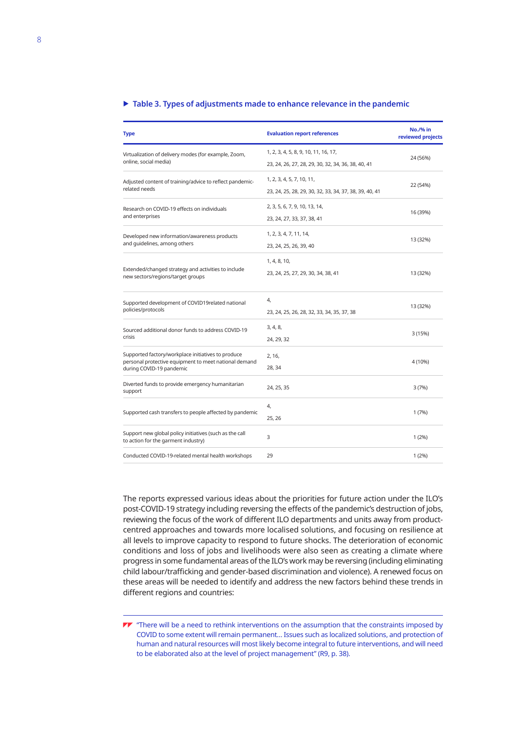#### $\triangleright$  Table 3. Types of adjustments made to enhance relevance in the pandemic

| <b>Type</b>                                                                                                                             | <b>Evaluation report references</b>                                                        | <b>No./% in</b><br>reviewed projects |
|-----------------------------------------------------------------------------------------------------------------------------------------|--------------------------------------------------------------------------------------------|--------------------------------------|
| Virtualization of delivery modes (for example, Zoom,<br>online, social media)                                                           | 1, 2, 3, 4, 5, 8, 9, 10, 11, 16, 17,<br>23, 24, 26, 27, 28, 29, 30, 32, 34, 36, 38, 40, 41 | 24 (56%)                             |
| Adjusted content of training/advice to reflect pandemic-<br>related needs                                                               | 1, 2, 3, 4, 5, 7, 10, 11,<br>23, 24, 25, 28, 29, 30, 32, 33, 34, 37, 38, 39, 40, 41        | 22 (54%)                             |
| Research on COVID-19 effects on individuals<br>and enterprises                                                                          | 2, 3, 5, 6, 7, 9, 10, 13, 14,<br>23, 24, 27, 33, 37, 38, 41                                | 16 (39%)                             |
| Developed new information/awareness products<br>and quidelines, among others                                                            | 1, 2, 3, 4, 7, 11, 14,<br>23, 24, 25, 26, 39, 40                                           | 13 (32%)                             |
| Extended/changed strategy and activities to include<br>new sectors/regions/target groups                                                | 1, 4, 8, 10,<br>23, 24, 25, 27, 29, 30, 34, 38, 41                                         | 13 (32%)                             |
| Supported development of COVID19related national<br>policies/protocols                                                                  | 4,<br>23, 24, 25, 26, 28, 32, 33, 34, 35, 37, 38                                           | 13 (32%)                             |
| Sourced additional donor funds to address COVID-19<br>crisis                                                                            | 3, 4, 8,<br>24, 29, 32                                                                     | 3 (15%)                              |
| Supported factory/workplace initiatives to produce<br>personal protective equipment to meet national demand<br>during COVID-19 pandemic | 2, 16,<br>28, 34                                                                           | 4 (10%)                              |
| Diverted funds to provide emergency humanitarian<br>support                                                                             | 24, 25, 35                                                                                 | 3(7%)                                |
| Supported cash transfers to people affected by pandemic                                                                                 | 4,<br>25, 26                                                                               | 1(7%)                                |
| Support new global policy initiatives (such as the call<br>to action for the garment industry)                                          | 3                                                                                          | 1(2%)                                |
| Conducted COVID-19-related mental health workshops                                                                                      | 29                                                                                         | 1(2%)                                |

The reports expressed various ideas about the priorities for future action under the ILO's post-COVID-19 strategy including reversing the effects of the pandemic's destruction of jobs, reviewing the focus of the work of different ILO departments and units away from productcentred approaches and towards more localised solutions, and focusing on resilience at all levels to improve capacity to respond to future shocks. The deterioration of economic conditions and loss of jobs and livelihoods were also seen as creating a climate where progress in some fundamental areas of the ILO's work may be reversing (including eliminating child labour/trafficking and gender-based discrimination and violence). A renewed focus on these areas will be needed to identify and address the new factors behind these trends in different regions and countries:

 $\blacktriangledown$  "There will be a need to rethink interventions on the assumption that the constraints imposed by COVID to some extent will remain permanent… Issues such as localized solutions, and protection of human and natural resources will most likely become integral to future interventions, and will need to be elaborated also at the level of project management" (R9, p. 38).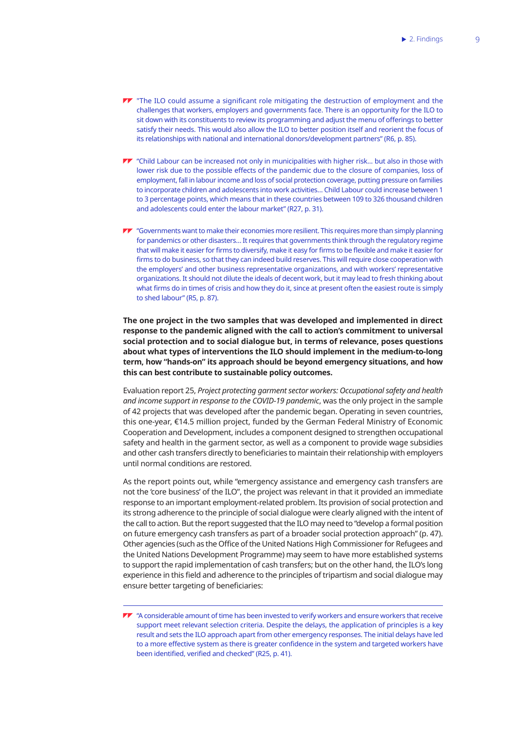- $\blacktriangledown$  "The ILO could assume a significant role mitigating the destruction of employment and the challenges that workers, employers and governments face. There is an opportunity for the ILO to sit down with its constituents to review its programming and adjust the menu of offerings to better satisfy their needs. This would also allow the ILO to better position itself and reorient the focus of its relationships with national and international donors/development partners" (R6, p. 85).
- **TV** "Child Labour can be increased not only in municipalities with higher risk... but also in those with lower risk due to the possible effects of the pandemic due to the closure of companies, loss of employment, fall in labour income and loss of social protection coverage, putting pressure on families to incorporate children and adolescents into work activities… Child Labour could increase between 1 to 3 percentage points, which means that in these countries between 109 to 326 thousand children and adolescents could enter the labour market" (R27, p. 31).
- "Governments want to make their economies more resilient. This requires more than simply planning for pandemics or other disasters… It requires that governments think through the regulatory regime that will make it easier for firms to diversify, make it easy for firms to be flexible and make it easier for firms to do business, so that they can indeed build reserves. This will require close cooperation with the employers' and other business representative organizations, and with workers' representative organizations. It should not dilute the ideals of decent work, but it may lead to fresh thinking about what firms do in times of crisis and how they do it, since at present often the easiest route is simply to shed labour" (R5, p. 87).

**The one project in the two samples that was developed and implemented in direct response to the pandemic aligned with the call to action's commitment to universal social protection and to social dialogue but, in terms of relevance, poses questions about what types of interventions the ILO should implement in the medium-to-long term, how "hands-on" its approach should be beyond emergency situations, and how this can best contribute to sustainable policy outcomes.**

Evaluation report 25, *Project protecting garment sector workers: Occupational safety and health and income support in response to the COVID-19 pandemic*, was the only project in the sample of 42 projects that was developed after the pandemic began. Operating in seven countries, this one-year, €14.5 million project, funded by the German Federal Ministry of Economic Cooperation and Development, includes a component designed to strengthen occupational safety and health in the garment sector, as well as a component to provide wage subsidies and other cash transfers directly to beneficiaries to maintain their relationship with employers until normal conditions are restored.

As the report points out, while "emergency assistance and emergency cash transfers are not the 'core business' of the ILO", the project was relevant in that it provided an immediate response to an important employment-related problem. Its provision of social protection and its strong adherence to the principle of social dialogue were clearly aligned with the intent of the call to action. But the report suggested that the ILO may need to "develop a formal position on future emergency cash transfers as part of a broader social protection approach" (p. 47). Other agencies (such as the Office of the United Nations High Commissioner for Refugees and the United Nations Development Programme) may seem to have more established systems to support the rapid implementation of cash transfers; but on the other hand, the ILO's long experience in this field and adherence to the principles of tripartism and social dialogue may ensure better targeting of beneficiaries:

 $\blacktriangledown$  "A considerable amount of time has been invested to verify workers and ensure workers that receive support meet relevant selection criteria. Despite the delays, the application of principles is a key result and sets the ILO approach apart from other emergency responses. The initial delays have led to a more effective system as there is greater confidence in the system and targeted workers have been identified, verified and checked" (R25, p. 41).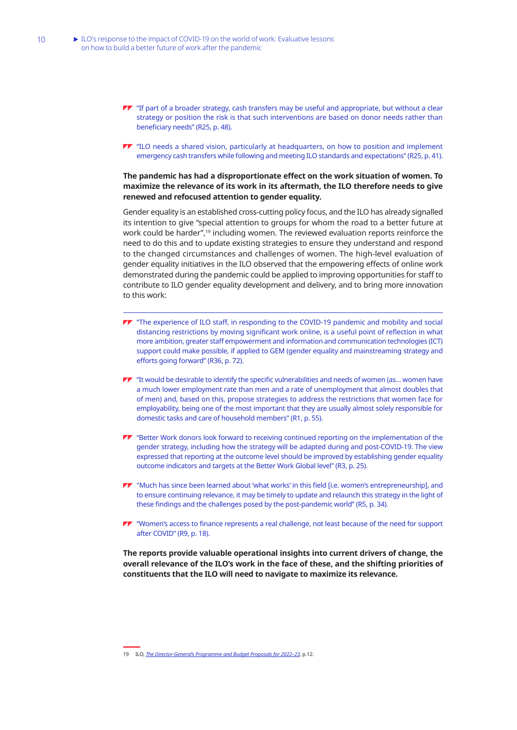- **TT** "If part of a broader strategy, cash transfers may be useful and appropriate, but without a clear strategy or position the risk is that such interventions are based on donor needs rather than beneficiary needs" (R25, p. 48).
- $\blacktriangledown$  "ILO needs a shared vision, particularly at headquarters, on how to position and implement emergency cash transfers while following and meeting ILO standards and expectations" (R25, p. 41).

### **The pandemic has had a disproportionate effect on the work situation of women. To maximize the relevance of its work in its aftermath, the ILO therefore needs to give renewed and refocused attention to gender equality.**

Gender equality is an established cross-cutting policy focus, and the ILO has already signalled its intention to give "special attention to groups for whom the road to a better future at work could be harder",19 including women. The reviewed evaluation reports reinforce the need to do this and to update existing strategies to ensure they understand and respond to the changed circumstances and challenges of women. The high-level evaluation of gender equality initiatives in the ILO observed that the empowering effects of online work demonstrated during the pandemic could be applied to improving opportunities for staff to contribute to ILO gender equality development and delivery, and to bring more innovation to this work:

- **TV** "The experience of ILO staff, in responding to the COVID-19 pandemic and mobility and social distancing restrictions by moving significant work online, is a useful point of reflection in what more ambition, greater staff empowerment and information and communication technologies (ICT) support could make possible, if applied to GEM (gender equality and mainstreaming strategy and efforts going forward" (R36, p. 72).
- $\blacktriangleright$  "It would be desirable to identify the specific vulnerabilities and needs of women (as... women have a much lower employment rate than men and a rate of unemployment that almost doubles that of men) and, based on this, propose strategies to address the restrictions that women face for employability, being one of the most important that they are usually almost solely responsible for domestic tasks and care of household members" (R1, p. 55).
- **TV** "Better Work donors look forward to receiving continued reporting on the implementation of the gender strategy, including how the strategy will be adapted during and post-COVID-19. The view expressed that reporting at the outcome level should be improved by establishing gender equality outcome indicators and targets at the Better Work Global level" (R3, p. 25).
- "Much has since been learned about 'what works' in this field [i.e. women's entrepreneurship], and to ensure continuing relevance, it may be timely to update and relaunch this strategy in the light of these findings and the challenges posed by the post-pandemic world" (R5, p. 34).
- "Women's access to finance represents a real challenge, not least because of the need for support after COVID" (R9, p. 18).

**The reports provide valuable operational insights into current drivers of change, the overall relevance of the ILO's work in the face of these, and the shifting priorities of constituents that the ILO will need to navigate to maximize its relevance.** 

<sup>19</sup> ILO, *[The Director-General's Programme and Budget Proposals for 2022–23](https://www.ilo.org/gb/GBSessions/GB341/pfa/WCMS_768021/lang--en/index.htm)*, p.12.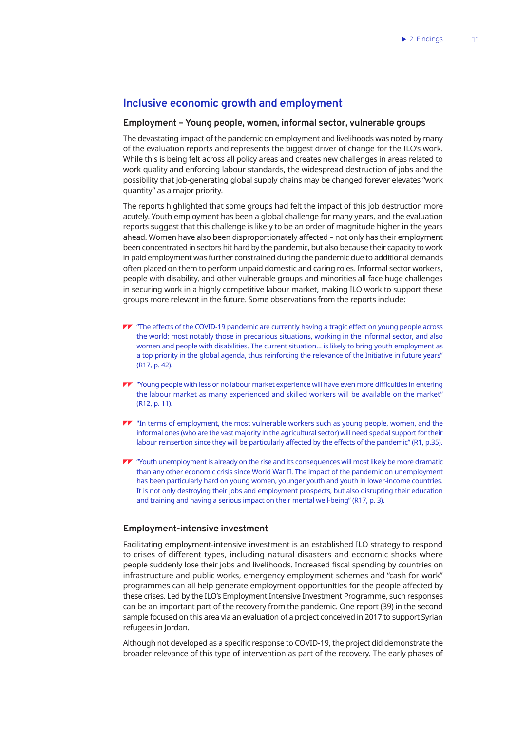## **Inclusive economic growth and employment**

## **Employment – Young people, women, informal sector, vulnerable groups**

The devastating impact of the pandemic on employment and livelihoods was noted by many of the evaluation reports and represents the biggest driver of change for the ILO's work. While this is being felt across all policy areas and creates new challenges in areas related to work quality and enforcing labour standards, the widespread destruction of jobs and the possibility that job-generating global supply chains may be changed forever elevates "work quantity" as a major priority.

The reports highlighted that some groups had felt the impact of this job destruction more acutely. Youth employment has been a global challenge for many years, and the evaluation reports suggest that this challenge is likely to be an order of magnitude higher in the years ahead. Women have also been disproportionately affected – not only has their employment been concentrated in sectors hit hard by the pandemic, but also because their capacity to work in paid employment was further constrained during the pandemic due to additional demands often placed on them to perform unpaid domestic and caring roles. Informal sector workers, people with disability, and other vulnerable groups and minorities all face huge challenges in securing work in a highly competitive labour market, making ILO work to support these groups more relevant in the future. Some observations from the reports include:

- **TV** "The effects of the COVID-19 pandemic are currently having a tragic effect on young people across the world; most notably those in precarious situations, working in the informal sector, and also women and people with disabilities. The current situation… is likely to bring youth employment as a top priority in the global agenda, thus reinforcing the relevance of the Initiative in future years" (R17, p. 42).
- "Young people with less or no labour market experience will have even more difficulties in entering the labour market as many experienced and skilled workers will be available on the market" (R12, p. 11).
- $\blacktriangledown$  "In terms of employment, the most vulnerable workers such as young people, women, and the informal ones (who are the vast majority in the agricultural sector) will need special support for their labour reinsertion since they will be particularly affected by the effects of the pandemic" (R1, p.35).
- **TV** "Youth unemployment is already on the rise and its consequences will most likely be more dramatic than any other economic crisis since World War II. The impact of the pandemic on unemployment has been particularly hard on young women, younger youth and youth in lower-income countries. It is not only destroying their jobs and employment prospects, but also disrupting their education and training and having a serious impact on their mental well-being" (R17, p. 3).

## **Employment-intensive investment**

Facilitating employment-intensive investment is an established ILO strategy to respond to crises of different types, including natural disasters and economic shocks where people suddenly lose their jobs and livelihoods. Increased fiscal spending by countries on infrastructure and public works, emergency employment schemes and "cash for work" programmes can all help generate employment opportunities for the people affected by these crises. Led by the ILO's Employment Intensive Investment Programme, such responses can be an important part of the recovery from the pandemic. One report (39) in the second sample focused on this area via an evaluation of a project conceived in 2017 to support Syrian refugees in Jordan.

Although not developed as a specific response to COVID-19, the project did demonstrate the broader relevance of this type of intervention as part of the recovery. The early phases of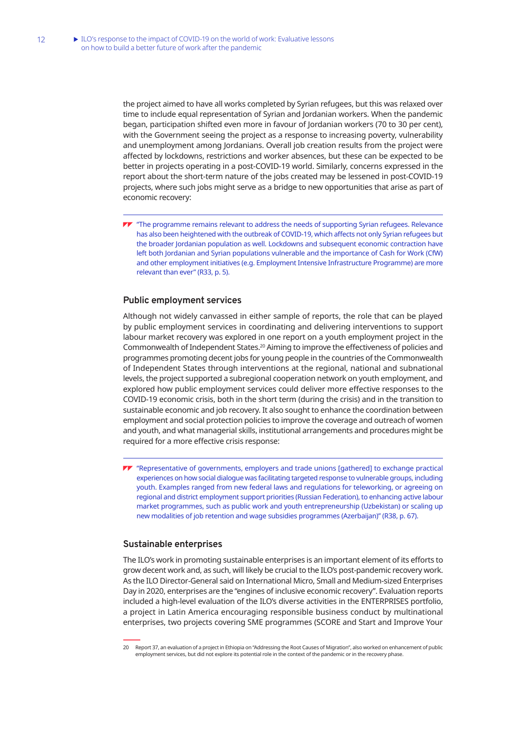the project aimed to have all works completed by Syrian refugees, but this was relaxed over time to include equal representation of Syrian and Jordanian workers. When the pandemic began, participation shifted even more in favour of Jordanian workers (70 to 30 per cent), with the Government seeing the project as a response to increasing poverty, vulnerability and unemployment among Jordanians. Overall job creation results from the project were affected by lockdowns, restrictions and worker absences, but these can be expected to be better in projects operating in a post-COVID-19 world. Similarly, concerns expressed in the report about the short-term nature of the jobs created may be lessened in post-COVID-19 projects, where such jobs might serve as a bridge to new opportunities that arise as part of economic recovery:

**77** "The programme remains relevant to address the needs of supporting Syrian refugees. Relevance has also been heightened with the outbreak of COVID-19, which affects not only Syrian refugees but the broader Jordanian population as well. Lockdowns and subsequent economic contraction have left both Jordanian and Syrian populations vulnerable and the importance of Cash for Work (CfW) and other employment initiatives (e.g. Employment Intensive Infrastructure Programme) are more relevant than ever" (R33, p. 5).

## **Public employment services**

Although not widely canvassed in either sample of reports, the role that can be played by public employment services in coordinating and delivering interventions to support labour market recovery was explored in one report on a youth employment project in the Commonwealth of Independent States.20 Aiming to improve the effectiveness of policies and programmes promoting decent jobs for young people in the countries of the Commonwealth of Independent States through interventions at the regional, national and subnational levels, the project supported a subregional cooperation network on youth employment, and explored how public employment services could deliver more effective responses to the COVID-19 economic crisis, both in the short term (during the crisis) and in the transition to sustainable economic and job recovery. It also sought to enhance the coordination between employment and social protection policies to improve the coverage and outreach of women and youth, and what managerial skills, institutional arrangements and procedures might be required for a more effective crisis response:

"Representative of governments, employers and trade unions [gathered] to exchange practical experiences on how social dialogue was facilitating targeted response to vulnerable groups, including youth. Examples ranged from new federal laws and regulations for teleworking, or agreeing on regional and district employment support priorities (Russian Federation), to enhancing active labour market programmes, such as public work and youth entrepreneurship (Uzbekistan) or scaling up new modalities of job retention and wage subsidies programmes (Azerbaijan)" (R38, p. 67).

#### **Sustainable enterprises**

The ILO's work in promoting sustainable enterprises is an important element of its efforts to grow decent work and, as such, will likely be crucial to the ILO's post-pandemic recovery work. As the ILO Director-General said on International Micro, Small and Medium-sized Enterprises Day in 2020, enterprises are the "engines of inclusive economic recovery". Evaluation reports included a high-level evaluation of the ILO's diverse activities in the ENTERPRISES portfolio, a project in Latin America encouraging responsible business conduct by multinational enterprises, two projects covering SME programmes (SCORE and Start and Improve Your

<sup>20</sup> Report 37, an evaluation of a project in Ethiopia on "Addressing the Root Causes of Migration", also worked on enhancement of public employment services, but did not explore its potential role in the context of the pandemic or in the recovery phase.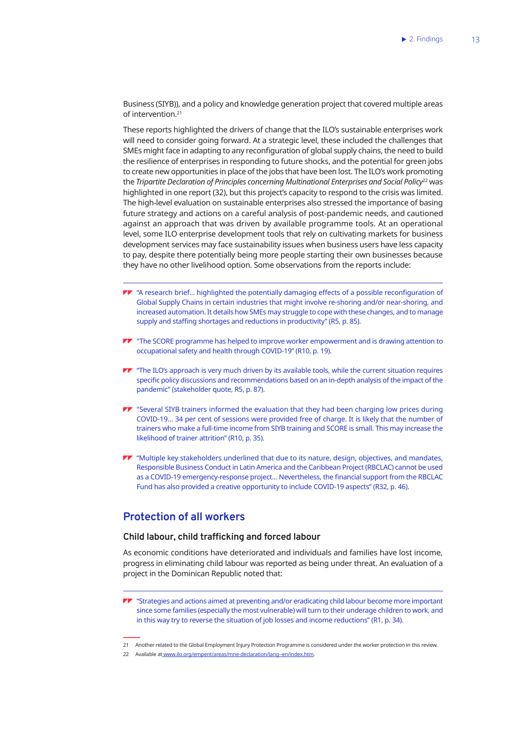Business (SIYB)), and a policy and knowledge generation project that covered multiple areas of intervention.<sup>21</sup>

These reports highlighted the drivers of change that the ILO's sustainable enterprises work will need to consider going forward. At a strategic level, these included the challenges that SMEs might face in adapting to any reconfiguration of global supply chains, the need to build the resilience of enterprises in responding to future shocks, and the potential for green jobs to create new opportunities in place of the jobs that have been lost. The ILO's work promoting the *Tripartite Declaration of Principles concerning Multinational Enterprises and Social Policy*<sup>22</sup> was highlighted in one report (32), but this project's capacity to respond to the crisis was limited. The high-level evaluation on sustainable enterprises also stressed the importance of basing future strategy and actions on a careful analysis of post-pandemic needs, and cautioned against an approach that was driven by available programme tools. At an operational level, some ILO enterprise development tools that rely on cultivating markets for business development services may face sustainability issues when business users have less capacity to pay, despite there potentially being more people starting their own businesses because they have no other livelihood option. Some observations from the reports include:

- $\blacktriangleright$  "A research brief... highlighted the potentially damaging effects of a possible reconfiguration of Global Supply Chains in certain industries that might involve re-shoring and/or near-shoring, and increased automation. It details how SMEs may struggle to cope with these changes, and to manage supply and staffing shortages and reductions in productivity" (R5, p. 85).
- **TV** "The SCORE programme has helped to improve worker empowerment and is drawing attention to occupational safety and health through COVID-19" (R10, p. 19).
- TT "The ILO's approach is very much driven by its available tools, while the current situation requires specific policy discussions and recommendations based on an in-depth analysis of the impact of the pandemic" (stakeholder quote, R5, p. 87).
- **TV** "Several SIYB trainers informed the evaluation that they had been charging low prices during COVID-19… 34 per cent of sessions were provided free of charge. It is likely that the number of trainers who make a full-time income from SIYB training and SCORE is small. This may increase the likelihood of trainer attrition" (R10, p. 35).
- $\blacktriangledown$  "Multiple key stakeholders underlined that due to its nature, design, objectives, and mandates, Responsible Business Conduct in Latin America and the Caribbean Project (RBCLAC) cannot be used as a COVID-19 emergency-response project… Nevertheless, the financial support from the RBCLAC Fund has also provided a creative opportunity to include COVID-19 aspects" (R32, p. 46).

## **Protection of all workers**

## **Child labour, child trafficking and forced labour**

As economic conditions have deteriorated and individuals and families have lost income, progress in eliminating child labour was reported as being under threat. An evaluation of a project in the Dominican Republic noted that:

21 Another related to the Global Employment Injury Protection Programme is considered under the worker protection in this review.

**TV** "Strategies and actions aimed at preventing and/or eradicating child labour become more important since some families (especially the most vulnerable) will turn to their underage children to work, and in this way try to reverse the situation of job losses and income reductions" (R1, p. 34).

<sup>22</sup> Available a[t www.ilo.org/empent/areas/mne-declaration/lang--en/index.htm](http://www.ilo.org/empent/areas/mne-declaration/lang--en/index.htm).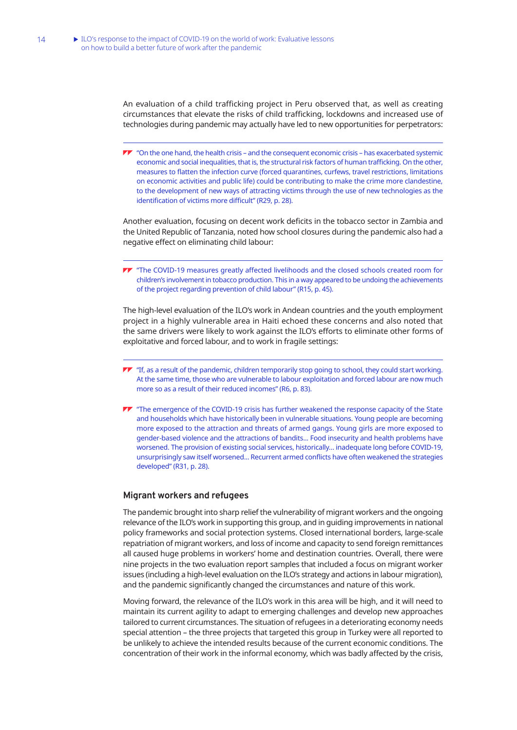An evaluation of a child trafficking project in Peru observed that, as well as creating circumstances that elevate the risks of child trafficking, lockdowns and increased use of technologies during pandemic may actually have led to new opportunities for perpetrators:

 $\blacktriangleright\blacktriangleright$  "On the one hand, the health crisis – and the consequent economic crisis – has exacerbated systemic economic and social inequalities, that is, the structural risk factors of human trafficking. On the other, measures to flatten the infection curve (forced quarantines, curfews, travel restrictions, limitations on economic activities and public life) could be contributing to make the crime more clandestine, to the development of new ways of attracting victims through the use of new technologies as the identification of victims more difficult" (R29, p. 28).

Another evaluation, focusing on decent work deficits in the tobacco sector in Zambia and the United Republic of Tanzania, noted how school closures during the pandemic also had a negative effect on eliminating child labour:

"The COVID-19 measures greatly affected livelihoods and the closed schools created room for children's involvement in tobacco production. This in a way appeared to be undoing the achievements of the project regarding prevention of child labour" (R15, p. 45).

The high-level evaluation of the ILO's work in Andean countries and the youth employment project in a highly vulnerable area in Haiti echoed these concerns and also noted that the same drivers were likely to work against the ILO's efforts to eliminate other forms of exploitative and forced labour, and to work in fragile settings:

- $\blacktriangledown$  "If, as a result of the pandemic, children temporarily stop going to school, they could start working. At the same time, those who are vulnerable to labour exploitation and forced labour are now much more so as a result of their reduced incomes" (R6, p. 83).
- **TT** "The emergence of the COVID-19 crisis has further weakened the response capacity of the State and households which have historically been in vulnerable situations. Young people are becoming more exposed to the attraction and threats of armed gangs. Young girls are more exposed to gender-based violence and the attractions of bandits... Food insecurity and health problems have worsened. The provision of existing social services, historically… inadequate long before COVID-19, unsurprisingly saw itself worsened... Recurrent armed conflicts have often weakened the strategies developed" (R31, p. 28).

### **Migrant workers and refugees**

The pandemic brought into sharp relief the vulnerability of migrant workers and the ongoing relevance of the ILO's work in supporting this group, and in guiding improvements in national policy frameworks and social protection systems. Closed international borders, large-scale repatriation of migrant workers, and loss of income and capacity to send foreign remittances all caused huge problems in workers' home and destination countries. Overall, there were nine projects in the two evaluation report samples that included a focus on migrant worker issues (including a high-level evaluation on the ILO's strategy and actions in labour migration). and the pandemic significantly changed the circumstances and nature of this work.

Moving forward, the relevance of the ILO's work in this area will be high, and it will need to maintain its current agility to adapt to emerging challenges and develop new approaches tailored to current circumstances. The situation of refugees in a deteriorating economy needs special attention – the three projects that targeted this group in Turkey were all reported to be unlikely to achieve the intended results because of the current economic conditions. The concentration of their work in the informal economy, which was badly affected by the crisis,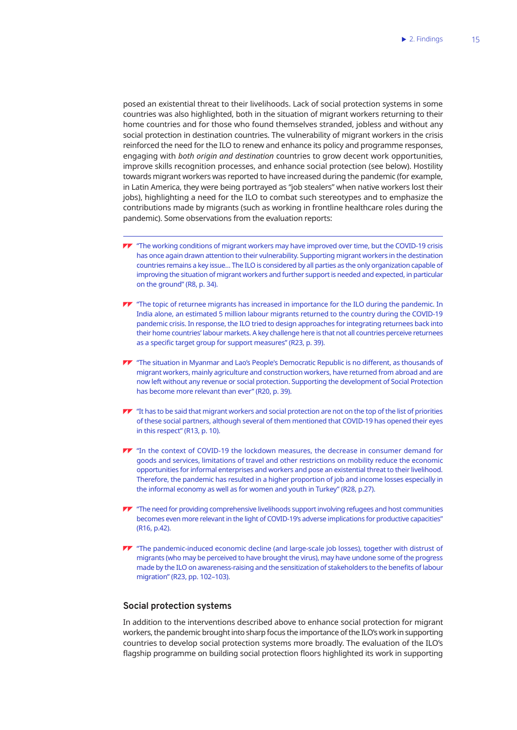posed an existential threat to their livelihoods. Lack of social protection systems in some countries was also highlighted, both in the situation of migrant workers returning to their home countries and for those who found themselves stranded, jobless and without any social protection in destination countries. The vulnerability of migrant workers in the crisis reinforced the need for the ILO to renew and enhance its policy and programme responses, engaging with *both origin and destination* countries to grow decent work opportunities, improve skills recognition processes, and enhance social protection (see below). Hostility towards migrant workers was reported to have increased during the pandemic (for example, in Latin America, they were being portrayed as "job stealers" when native workers lost their jobs), highlighting a need for the ILO to combat such stereotypes and to emphasize the contributions made by migrants (such as working in frontline healthcare roles during the pandemic). Some observations from the evaluation reports:

- $\blacktriangledown$  "The working conditions of migrant workers may have improved over time, but the COVID-19 crisis has once again drawn attention to their vulnerability. Supporting migrant workers in the destination countries remains a key issue… The ILO is considered by all parties as the only organization capable of improving the situation of migrant workers and further support is needed and expected, in particular on the ground" (R8, p. 34).
- $\blacktriangledown$  "The topic of returnee migrants has increased in importance for the ILO during the pandemic. In India alone, an estimated 5 million labour migrants returned to the country during the COVID-19 pandemic crisis. In response, the ILO tried to design approaches for integrating returnees back into their home countries' labour markets. A key challenge here is that not all countries perceive returnees as a specific target group for support measures" (R23, p. 39).
- "The situation in Myanmar and Lao's People's Democratic Republic is no different, as thousands of migrant workers, mainly agriculture and construction workers, have returned from abroad and are now left without any revenue or social protection. Supporting the development of Social Protection has become more relevant than ever" (R20, p. 39).
- $\blacktriangleright\blacktriangleright$  "It has to be said that migrant workers and social protection are not on the top of the list of priorities of these social partners, although several of them mentioned that COVID-19 has opened their eyes in this respect" (R13, p. 10).
- TT "In the context of COVID-19 the lockdown measures, the decrease in consumer demand for goods and services, limitations of travel and other restrictions on mobility reduce the economic opportunities for informal enterprises and workers and pose an existential threat to their livelihood. Therefore, the pandemic has resulted in a higher proportion of job and income losses especially in the informal economy as well as for women and youth in Turkey" (R28, p.27).
- $\blacktriangleright$  "The need for providing comprehensive livelihoods support involving refugees and host communities becomes even more relevant in the light of COVID-19's adverse implications for productive capacities" (R16, p.42).
- TT "The pandemic-induced economic decline (and large-scale job losses), together with distrust of migrants (who may be perceived to have brought the virus), may have undone some of the progress made by the ILO on awareness-raising and the sensitization of stakeholders to the benefits of labour migration" (R23, pp. 102–103).

### **Social protection systems**

In addition to the interventions described above to enhance social protection for migrant workers, the pandemic brought into sharp focus the importance of the ILO's work in supporting countries to develop social protection systems more broadly. The evaluation of the ILO's flagship programme on building social protection floors highlighted its work in supporting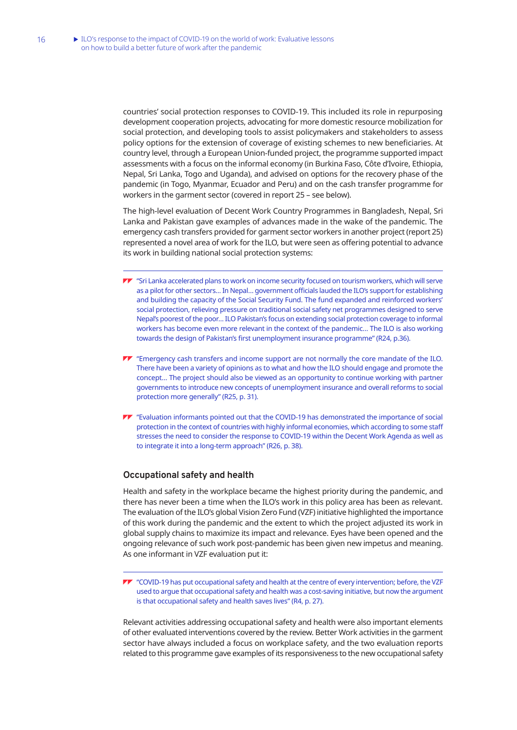countries' social protection responses to COVID-19. This included its role in repurposing development cooperation projects, advocating for more domestic resource mobilization for social protection, and developing tools to assist policymakers and stakeholders to assess policy options for the extension of coverage of existing schemes to new beneficiaries. At country level, through a European Union-funded project, the programme supported impact assessments with a focus on the informal economy (in Burkina Faso, Côte d'Ivoire, Ethiopia, Nepal, Sri Lanka, Togo and Uganda), and advised on options for the recovery phase of the pandemic (in Togo, Myanmar, Ecuador and Peru) and on the cash transfer programme for workers in the garment sector (covered in report 25 – see below).

The high-level evaluation of Decent Work Country Programmes in Bangladesh, Nepal, Sri Lanka and Pakistan gave examples of advances made in the wake of the pandemic. The emergency cash transfers provided for garment sector workers in another project (report 25) represented a novel area of work for the ILO, but were seen as offering potential to advance its work in building national social protection systems:

- "Sri Lanka accelerated plans to work on income security focused on tourism workers, which will serve as a pilot for other sectors… In Nepal… government officials lauded the ILO's support for establishing and building the capacity of the Social Security Fund. The fund expanded and reinforced workers' social protection, relieving pressure on traditional social safety net programmes designed to serve Nepal's poorest of the poor… ILO Pakistan's focus on extending social protection coverage to informal workers has become even more relevant in the context of the pandemic… The ILO is also working towards the design of Pakistan's first unemployment insurance programme" (R24, p.36).
- "Emergency cash transfers and income support are not normally the core mandate of the ILO. There have been a variety of opinions as to what and how the ILO should engage and promote the concept… The project should also be viewed as an opportunity to continue working with partner governments to introduce new concepts of unemployment insurance and overall reforms to social protection more generally" (R25, p. 31).
- "Evaluation informants pointed out that the COVID-19 has demonstrated the importance of social protection in the context of countries with highly informal economies, which according to some staff stresses the need to consider the response to COVID-19 within the Decent Work Agenda as well as to integrate it into a long-term approach" (R26, p. 38).

### **Occupational safety and health**

Health and safety in the workplace became the highest priority during the pandemic, and there has never been a time when the ILO's work in this policy area has been as relevant. The evaluation of the ILO's global Vision Zero Fund (VZF) initiative highlighted the importance of this work during the pandemic and the extent to which the project adjusted its work in global supply chains to maximize its impact and relevance. Eyes have been opened and the ongoing relevance of such work post-pandemic has been given new impetus and meaning. As one informant in VZF evaluation put it:

"COVID-19 has put occupational safety and health at the centre of every intervention; before, the VZF used to argue that occupational safety and health was a cost-saving initiative, but now the argument is that occupational safety and health saves lives" (R4, p. 27).

Relevant activities addressing occupational safety and health were also important elements of other evaluated interventions covered by the review. Better Work activities in the garment sector have always included a focus on workplace safety, and the two evaluation reports related to this programme gave examples of its responsiveness to the new occupational safety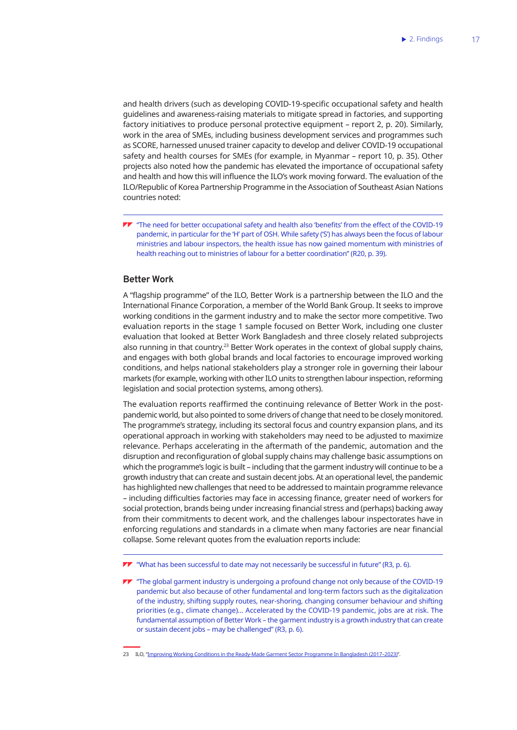and health drivers (such as developing COVID-19-specific occupational safety and health guidelines and awareness-raising materials to mitigate spread in factories, and supporting factory initiatives to produce personal protective equipment – report 2, p. 20). Similarly, work in the area of SMEs, including business development services and programmes such as SCORE, harnessed unused trainer capacity to develop and deliver COVID-19 occupational safety and health courses for SMEs (for example, in Myanmar – report 10, p. 35). Other projects also noted how the pandemic has elevated the importance of occupational safety and health and how this will influence the ILO's work moving forward. The evaluation of the ILO/Republic of Korea Partnership Programme in the Association of Southeast Asian Nations countries noted:

"The need for better occupational safety and health also 'benefits' from the effect of the COVID-19 pandemic, in particular for the 'H' part of OSH. While safety ('S') has always been the focus of labour ministries and labour inspectors, the health issue has now gained momentum with ministries of health reaching out to ministries of labour for a better coordination" (R20, p. 39).

## **Better Work**

A "flagship programme" of the ILO, Better Work is a partnership between the ILO and the International Finance Corporation, a member of the World Bank Group. It seeks to improve working conditions in the garment industry and to make the sector more competitive. Two evaluation reports in the stage 1 sample focused on Better Work, including one cluster evaluation that looked at Better Work Bangladesh and three closely related subprojects also running in that country.<sup>23</sup> Better Work operates in the context of global supply chains, and engages with both global brands and local factories to encourage improved working conditions, and helps national stakeholders play a stronger role in governing their labour markets (for example, working with other ILO units to strengthen labour inspection, reforming legislation and social protection systems, among others).

The evaluation reports reaffirmed the continuing relevance of Better Work in the postpandemic world, but also pointed to some drivers of change that need to be closely monitored. The programme's strategy, including its sectoral focus and country expansion plans, and its operational approach in working with stakeholders may need to be adjusted to maximize relevance. Perhaps accelerating in the aftermath of the pandemic, automation and the disruption and reconfiguration of global supply chains may challenge basic assumptions on which the programme's logic is built – including that the garment industry will continue to be a growth industry that can create and sustain decent jobs. At an operational level, the pandemic has highlighted new challenges that need to be addressed to maintain programme relevance – including difficulties factories may face in accessing finance, greater need of workers for social protection, brands being under increasing financial stress and (perhaps) backing away from their commitments to decent work, and the challenges labour inspectorates have in enforcing regulations and standards in a climate when many factories are near financial collapse. Some relevant quotes from the evaluation reports include:

 $\blacktriangledown$  "What has been successful to date may not necessarily be successful in future" (R3, p. 6).

**TV** "The global garment industry is undergoing a profound change not only because of the COVID-19 pandemic but also because of other fundamental and long-term factors such as the digitalization of the industry, shifting supply routes, near-shoring, changing consumer behaviour and shifting priorities (e.g., climate change)… Accelerated by the COVID-19 pandemic, jobs are at risk. The fundamental assumption of Better Work – the garment industry is a growth industry that can create or sustain decent jobs – may be challenged" (R3, p. 6).

<sup>23</sup> ILO, "[Improving Working Conditions in the Ready-Made Garment Sector Programme In Bangladesh \(2017–2023\)](https://www.ilo.org/dhaka/Whatwedo/Projects/safer-garment-industry-in-bangladesh/WCMS_226530/lang--en/index.htm)".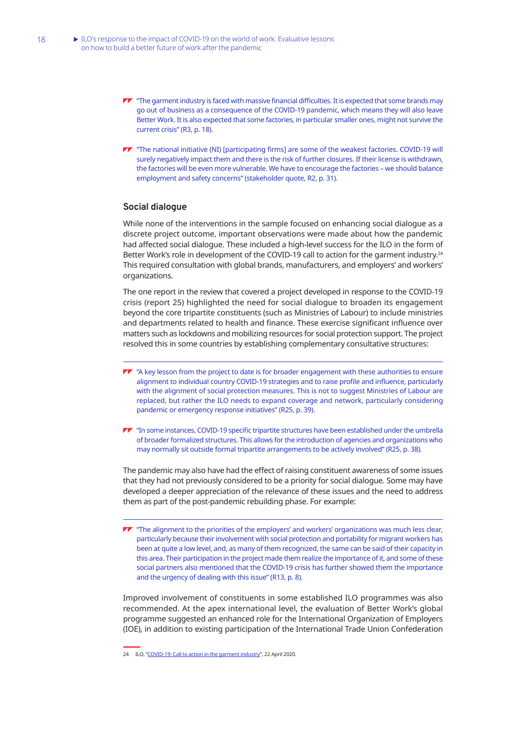- TT "The garment industry is faced with massive financial difficulties. It is expected that some brands may go out of business as a consequence of the COVID-19 pandemic, which means they will also leave Better Work. It is also expected that some factories, in particular smaller ones, might not survive the current crisis" (R3, p. 18).
- "The national initiative (NI) [participating firms] are some of the weakest factories. COVID-19 will surely negatively impact them and there is the risk of further closures. If their license is withdrawn, the factories will be even more vulnerable. We have to encourage the factories – we should balance employment and safety concerns" (stakeholder quote, R2, p. 31).

## **Social dialogue**

While none of the interventions in the sample focused on enhancing social dialogue as a discrete project outcome, important observations were made about how the pandemic had affected social dialogue. These included a high-level success for the ILO in the form of Better Work's role in development of the COVID-19 call to action for the garment industry.<sup>24</sup> This required consultation with global brands, manufacturers, and employers' and workers' organizations.

The one report in the review that covered a project developed in response to the COVID-19 crisis (report 25) highlighted the need for social dialogue to broaden its engagement beyond the core tripartite constituents (such as Ministries of Labour) to include ministries and departments related to health and finance. These exercise significant influence over matters such as lockdowns and mobilizing resources for social protection support. The project resolved this in some countries by establishing complementary consultative structures:

- **TV** "A key lesson from the project to date is for broader engagement with these authorities to ensure alignment to individual country COVID-19 strategies and to raise profile and influence, particularly with the alignment of social protection measures. This is not to suggest Ministries of Labour are replaced, but rather the ILO needs to expand coverage and network, particularly considering pandemic or emergency response initiatives" (R25, p. 39).
- "In some instances, COVID-19 specific tripartite structures have been established under the umbrella of broader formalized structures. This allows for the introduction of agencies and organizations who may normally sit outside formal tripartite arrangements to be actively involved" (R25, p. 38).

The pandemic may also have had the effect of raising constituent awareness of some issues that they had not previously considered to be a priority for social dialogue. Some may have developed a deeper appreciation of the relevance of these issues and the need to address them as part of the post-pandemic rebuilding phase. For example:

 $\blacktriangledown$  "The alignment to the priorities of the employers' and workers' organizations was much less clear, particularly because their involvement with social protection and portability for migrant workers has been at quite a low level, and, as many of them recognized, the same can be said of their capacity in this area. Their participation in the project made them realize the importance of it, and some of these social partners also mentioned that the COVID-19 crisis has further showed them the importance and the urgency of dealing with this issue" (R13, p. 8).

Improved involvement of constituents in some established ILO programmes was also recommended. At the apex international level, the evaluation of Better Work's global programme suggested an enhanced role for the International Organization of Employers (IOE), in addition to existing participation of the International Trade Union Confederation

<sup>24</sup> ILO, ["COVID-19: Call to action in the garment industry](https://www.ilo.org/global/topics/coronavirus/WCMS_742371/lang--en/index.htm)", 22 April 2020.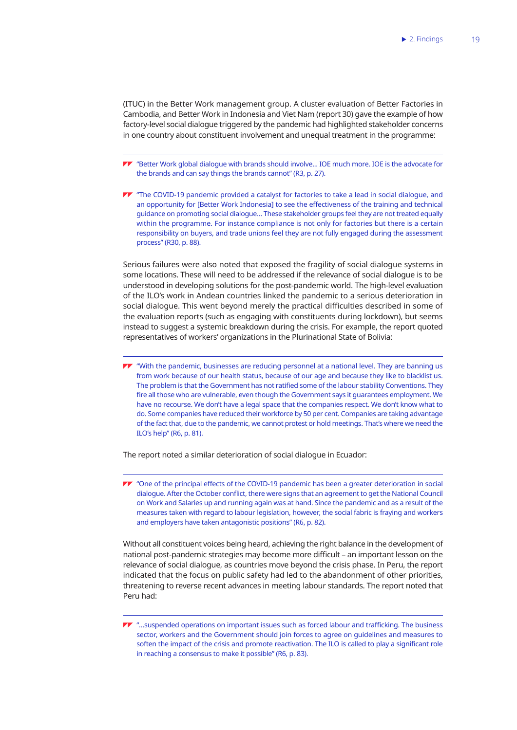(ITUC) in the Better Work management group. A cluster evaluation of Better Factories in Cambodia, and Better Work in Indonesia and Viet Nam (report 30) gave the example of how factory-level social dialogue triggered by the pandemic had highlighted stakeholder concerns in one country about constituent involvement and unequal treatment in the programme:

"Better Work global dialogue with brands should involve... IOE much more. IOE is the advocate for the brands and can say things the brands cannot" (R3, p. 27).

**TV** "The COVID-19 pandemic provided a catalyst for factories to take a lead in social dialogue, and an opportunity for [Better Work Indonesia] to see the effectiveness of the training and technical guidance on promoting social dialogue… These stakeholder groups feel they are not treated equally within the programme. For instance compliance is not only for factories but there is a certain responsibility on buyers, and trade unions feel they are not fully engaged during the assessment process" (R30, p. 88).

Serious failures were also noted that exposed the fragility of social dialogue systems in some locations. These will need to be addressed if the relevance of social dialogue is to be understood in developing solutions for the post-pandemic world. The high-level evaluation of the ILO's work in Andean countries linked the pandemic to a serious deterioration in social dialogue. This went beyond merely the practical difficulties described in some of the evaluation reports (such as engaging with constituents during lockdown), but seems instead to suggest a systemic breakdown during the crisis. For example, the report quoted representatives of workers' organizations in the Plurinational State of Bolivia:

"With the pandemic, businesses are reducing personnel at a national level. They are banning us from work because of our health status, because of our age and because they like to blacklist us. The problem is that the Government has not ratified some of the labour stability Conventions. They fire all those who are vulnerable, even though the Government says it guarantees employment. We have no recourse. We don't have a legal space that the companies respect. We don't know what to do. Some companies have reduced their workforce by 50 per cent. Companies are taking advantage of the fact that, due to the pandemic, we cannot protest or hold meetings. That's where we need the ILO's help" (R6, p. 81).

The report noted a similar deterioration of social dialogue in Ecuador:

**TV** "One of the principal effects of the COVID-19 pandemic has been a greater deterioration in social dialogue. After the October conflict, there were signs that an agreement to get the National Council on Work and Salaries up and running again was at hand. Since the pandemic and as a result of the measures taken with regard to labour legislation, however, the social fabric is fraying and workers and employers have taken antagonistic positions" (R6, p. 82).

Without all constituent voices being heard, achieving the right balance in the development of national post-pandemic strategies may become more difficult – an important lesson on the relevance of social dialogue, as countries move beyond the crisis phase. In Peru, the report indicated that the focus on public safety had led to the abandonment of other priorities, threatening to reverse recent advances in meeting labour standards. The report noted that Peru had:

**TV** "...suspended operations on important issues such as forced labour and trafficking. The business sector, workers and the Government should join forces to agree on guidelines and measures to soften the impact of the crisis and promote reactivation. The ILO is called to play a significant role in reaching a consensus to make it possible" (R6, p. 83).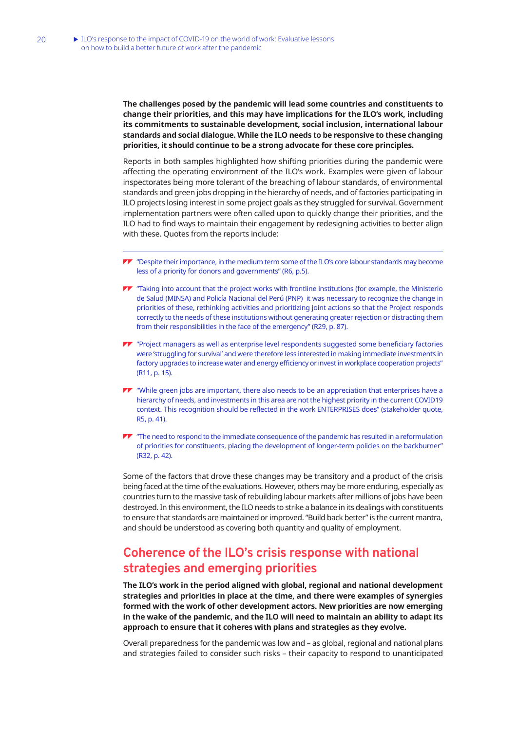<span id="page-30-0"></span>**The challenges posed by the pandemic will lead some countries and constituents to change their priorities, and this may have implications for the ILO's work, including its commitments to sustainable development, social inclusion, international labour standards and social dialogue. While the ILO needs to be responsive to these changing priorities, it should continue to be a strong advocate for these core principles.**

Reports in both samples highlighted how shifting priorities during the pandemic were affecting the operating environment of the ILO's work. Examples were given of labour inspectorates being more tolerant of the breaching of labour standards, of environmental standards and green jobs dropping in the hierarchy of needs, and of factories participating in ILO projects losing interest in some project goals as they struggled for survival. Government implementation partners were often called upon to quickly change their priorities, and the ILO had to find ways to maintain their engagement by redesigning activities to better align with these. Quotes from the reports include:

- $\blacktriangledown$  "Despite their importance, in the medium term some of the ILO's core labour standards may become less of a priority for donors and governments" (R6, p.5).
- **TV** "Taking into account that the project works with frontline institutions (for example, the Ministerio de Salud (MINSA) and Policía Nacional del Perú (PNP) it was necessary to recognize the change in priorities of these, rethinking activities and prioritizing joint actions so that the Project responds correctly to the needs of these institutions without generating greater rejection or distracting them from their responsibilities in the face of the emergency" (R29, p. 87).
- **TV** "Project managers as well as enterprise level respondents suggested some beneficiary factories were 'struggling for survival' and were therefore less interested in making immediate investments in factory upgrades to increase water and energy efficiency or invest in workplace cooperation projects" (R11, p. 15).
- $\blacktriangledown$  "While green jobs are important, there also needs to be an appreciation that enterprises have a hierarchy of needs, and investments in this area are not the highest priority in the current COVID19 context. This recognition should be reflected in the work ENTERPRISES does" (stakeholder quote, R5, p. 41).
- $\blacktriangledown$  "The need to respond to the immediate consequence of the pandemic has resulted in a reformulation of priorities for constituents, placing the development of longer-term policies on the backburner" (R32, p. 42).

Some of the factors that drove these changes may be transitory and a product of the crisis being faced at the time of the evaluations. However, others may be more enduring, especially as countries turn to the massive task of rebuilding labour markets after millions of jobs have been destroyed. In this environment, the ILO needs to strike a balance in its dealings with constituents to ensure that standards are maintained or improved. "Build back better" is the current mantra, and should be understood as covering both quantity and quality of employment.

## **Coherence of the ILO's crisis response with national strategies and emerging priorities**

**The ILO's work in the period aligned with global, regional and national development strategies and priorities in place at the time, and there were examples of synergies formed with the work of other development actors. New priorities are now emerging in the wake of the pandemic, and the ILO will need to maintain an ability to adapt its approach to ensure that it coheres with plans and strategies as they evolve.**

Overall preparedness for the pandemic was low and – as global, regional and national plans and strategies failed to consider such risks – their capacity to respond to unanticipated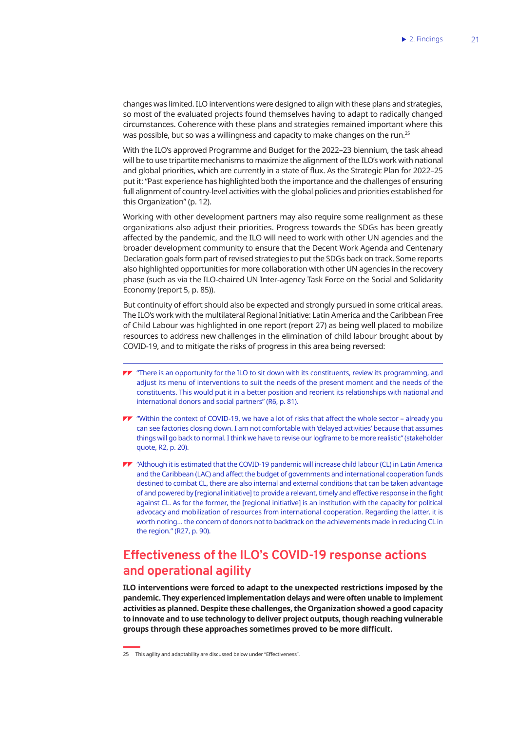<span id="page-31-0"></span>changes was limited. ILO interventions were designed to align with these plans and strategies, so most of the evaluated projects found themselves having to adapt to radically changed circumstances. Coherence with these plans and strategies remained important where this was possible, but so was a willingness and capacity to make changes on the run.25

With the ILO's approved Programme and Budget for the 2022–23 biennium, the task ahead will be to use tripartite mechanisms to maximize the alignment of the ILO's work with national and global priorities, which are currently in a state of flux. As the Strategic Plan for 2022–25 put it: "Past experience has highlighted both the importance and the challenges of ensuring full alignment of country-level activities with the global policies and priorities established for this Organization" (p. 12).

Working with other development partners may also require some realignment as these organizations also adjust their priorities. Progress towards the SDGs has been greatly affected by the pandemic, and the ILO will need to work with other UN agencies and the broader development community to ensure that the Decent Work Agenda and Centenary Declaration goals form part of revised strategies to put the SDGs back on track. Some reports also highlighted opportunities for more collaboration with other UN agencies in the recovery phase (such as via the ILO-chaired UN Inter-agency Task Force on the Social and Solidarity Economy (report 5, p. 85)).

But continuity of effort should also be expected and strongly pursued in some critical areas. The ILO's work with the multilateral Regional Initiative: Latin America and the Caribbean Free of Child Labour was highlighted in one report (report 27) as being well placed to mobilize resources to address new challenges in the elimination of child labour brought about by COVID-19, and to mitigate the risks of progress in this area being reversed:

- **TV** "There is an opportunity for the ILO to sit down with its constituents, review its programming, and adjust its menu of interventions to suit the needs of the present moment and the needs of the constituents. This would put it in a better position and reorient its relationships with national and international donors and social partners" (R6, p. 81).
- "Within the context of COVID-19, we have a lot of risks that affect the whole sector already you can see factories closing down. I am not comfortable with 'delayed activities' because that assumes things will go back to normal. I think we have to revise our logframe to be more realistic" (stakeholder quote, R2, p. 20).
- "Although it is estimated that the COVID-19 pandemic will increase child labour (CL) in Latin America and the Caribbean (LAC) and affect the budget of governments and international cooperation funds destined to combat CL, there are also internal and external conditions that can be taken advantage of and powered by [regional initiative] to provide a relevant, timely and effective response in the fight against CL. As for the former, the [regional initiative] is an institution with the capacity for political advocacy and mobilization of resources from international cooperation. Regarding the latter, it is worth noting… the concern of donors not to backtrack on the achievements made in reducing CL in the region." (R27, p. 90).

## **Effectiveness of the ILO's COVID-19 response actions and operational agility**

**ILO interventions were forced to adapt to the unexpected restrictions imposed by the pandemic. They experienced implementation delays and were often unable to implement activities as planned. Despite these challenges, the Organization showed a good capacity to innovate and to use technology to deliver project outputs, though reaching vulnerable groups through these approaches sometimes proved to be more difficult.** 

<sup>25</sup> This agility and adaptability are discussed below under "Effectiveness".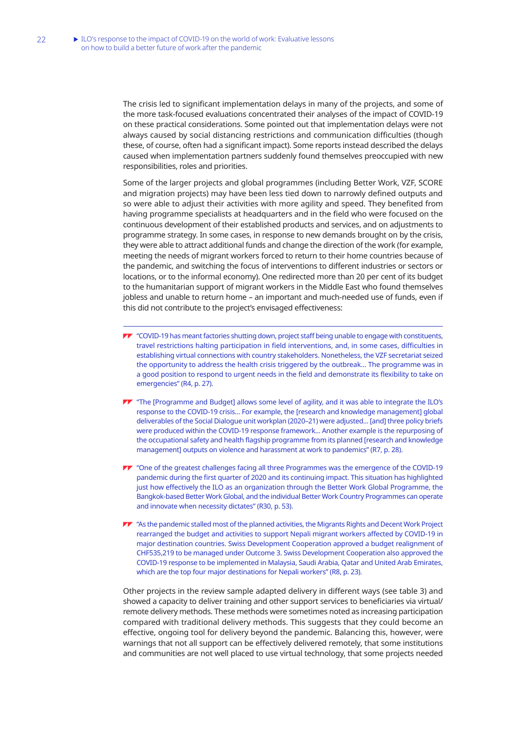The crisis led to significant implementation delays in many of the projects, and some of the more task-focused evaluations concentrated their analyses of the impact of COVID-19 on these practical considerations. Some pointed out that implementation delays were not always caused by social distancing restrictions and communication difficulties (though these, of course, often had a significant impact). Some reports instead described the delays caused when implementation partners suddenly found themselves preoccupied with new responsibilities, roles and priorities.

Some of the larger projects and global programmes (including Better Work, VZF, SCORE and migration projects) may have been less tied down to narrowly defined outputs and so were able to adjust their activities with more agility and speed. They benefited from having programme specialists at headquarters and in the field who were focused on the continuous development of their established products and services, and on adjustments to programme strategy. In some cases, in response to new demands brought on by the crisis, they were able to attract additional funds and change the direction of the work (for example, meeting the needs of migrant workers forced to return to their home countries because of the pandemic, and switching the focus of interventions to different industries or sectors or locations, or to the informal economy). One redirected more than 20 per cent of its budget to the humanitarian support of migrant workers in the Middle East who found themselves jobless and unable to return home – an important and much-needed use of funds, even if this did not contribute to the project's envisaged effectiveness:

- "COVID-19 has meant factories shutting down, project staff being unable to engage with constituents, travel restrictions halting participation in field interventions, and, in some cases, difficulties in establishing virtual connections with country stakeholders. Nonetheless, the VZF secretariat seized the opportunity to address the health crisis triggered by the outbreak... The programme was in a good position to respond to urgent needs in the field and demonstrate its flexibility to take on emergencies" (R4, p. 27).
- **TT** "The [Programme and Budget] allows some level of agility, and it was able to integrate the ILO's response to the COVID-19 crisis... For example, the [research and knowledge management] global deliverables of the Social Dialogue unit workplan (2020–21) were adjusted... [and] three policy briefs were produced within the COVID-19 response framework... Another example is the repurposing of the occupational safety and health flagship programme from its planned [research and knowledge management] outputs on violence and harassment at work to pandemics" (R7, p. 28).
- "One of the greatest challenges facing all three Programmes was the emergence of the COVID-19 pandemic during the first quarter of 2020 and its continuing impact. This situation has highlighted just how effectively the ILO as an organization through the Better Work Global Programme, the Bangkok-based Better Work Global, and the individual Better Work Country Programmes can operate and innovate when necessity dictates" (R30, p. 53).
- "As the pandemic stalled most of the planned activities, the Migrants Rights and Decent Work Project rearranged the budget and activities to support Nepali migrant workers affected by COVID-19 in major destination countries. Swiss Development Cooperation approved a budget realignment of CHF535,219 to be managed under Outcome 3. Swiss Development Cooperation also approved the COVID-19 response to be implemented in Malaysia, Saudi Arabia, Qatar and United Arab Emirates, which are the top four major destinations for Nepali workers" (R8, p. 23).

Other projects in the review sample adapted delivery in different ways (see table 3) and showed a capacity to deliver training and other support services to beneficiaries via virtual/ remote delivery methods. These methods were sometimes noted as increasing participation compared with traditional delivery methods. This suggests that they could become an effective, ongoing tool for delivery beyond the pandemic. Balancing this, however, were warnings that not all support can be effectively delivered remotely, that some institutions and communities are not well placed to use virtual technology, that some projects needed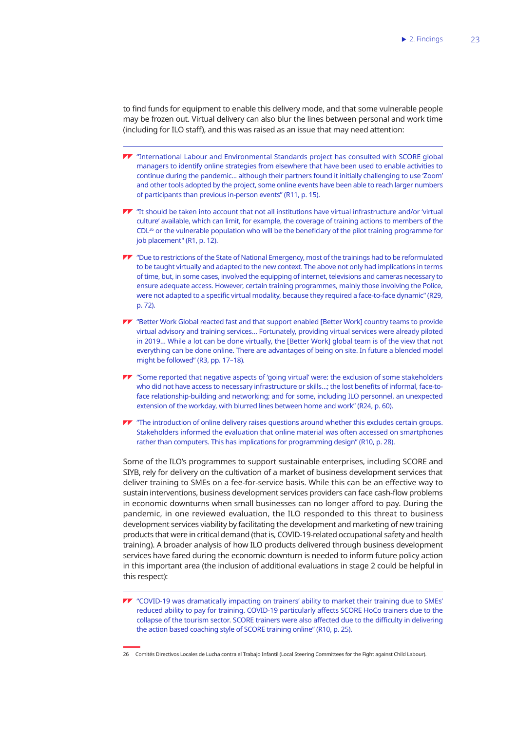to find funds for equipment to enable this delivery mode, and that some vulnerable people may be frozen out. Virtual delivery can also blur the lines between personal and work time (including for ILO staff), and this was raised as an issue that may need attention:

- "International Labour and Environmental Standards project has consulted with SCORE global managers to identify online strategies from elsewhere that have been used to enable activities to continue during the pandemic... although their partners found it initially challenging to use 'Zoom' and other tools adopted by the project, some online events have been able to reach larger numbers of participants than previous in-person events" (R11, p. 15).
- "It should be taken into account that not all institutions have virtual infrastructure and/or 'virtual culture' available, which can limit, for example, the coverage of training actions to members of the CDL<sup>26</sup> or the vulnerable population who will be the beneficiary of the pilot training programme for job placement" (R1, p. 12).
- "Due to restrictions of the State of National Emergency, most of the trainings had to be reformulated to be taught virtually and adapted to the new context. The above not only had implications in terms of time, but, in some cases, involved the equipping of internet, televisions and cameras necessary to ensure adequate access. However, certain training programmes, mainly those involving the Police, were not adapted to a specific virtual modality, because they required a face-to-face dynamic" (R29, p. 72).
- "Better Work Global reacted fast and that support enabled [Better Work] country teams to provide virtual advisory and training services… Fortunately, providing virtual services were already piloted in 2019… While a lot can be done virtually, the [Better Work] global team is of the view that not everything can be done online. There are advantages of being on site. In future a blended model might be followed" (R3, pp. 17–18).
- "Some reported that negative aspects of 'going virtual' were: the exclusion of some stakeholders who did not have access to necessary infrastructure or skills…; the lost benefits of informal, face-toface relationship-building and networking; and for some, including ILO personnel, an unexpected extension of the workday, with blurred lines between home and work" (R24, p. 60).
- **TV** "The introduction of online delivery raises questions around whether this excludes certain groups. Stakeholders informed the evaluation that online material was often accessed on smartphones rather than computers. This has implications for programming design" (R10, p. 28).

Some of the ILO's programmes to support sustainable enterprises, including SCORE and SIYB, rely for delivery on the cultivation of a market of business development services that deliver training to SMEs on a fee-for-service basis. While this can be an effective way to sustain interventions, business development services providers can face cash-flow problems in economic downturns when small businesses can no longer afford to pay. During the pandemic, in one reviewed evaluation, the ILO responded to this threat to business development services viability by facilitating the development and marketing of new training products that were in critical demand (that is, COVID-19-related occupational safety and health training). A broader analysis of how ILO products delivered through business development services have fared during the economic downturn is needed to inform future policy action in this important area (the inclusion of additional evaluations in stage 2 could be helpful in this respect):

"COVID-19 was dramatically impacting on trainers' ability to market their training due to SMEs' reduced ability to pay for training. COVID-19 particularly affects SCORE HoCo trainers due to the collapse of the tourism sector. SCORE trainers were also affected due to the difficulty in delivering the action based coaching style of SCORE training online" (R10, p. 25).

26 Comités Directivos Locales de Lucha contra el Trabajo Infantil (Local Steering Committees for the Fight against Child Labour).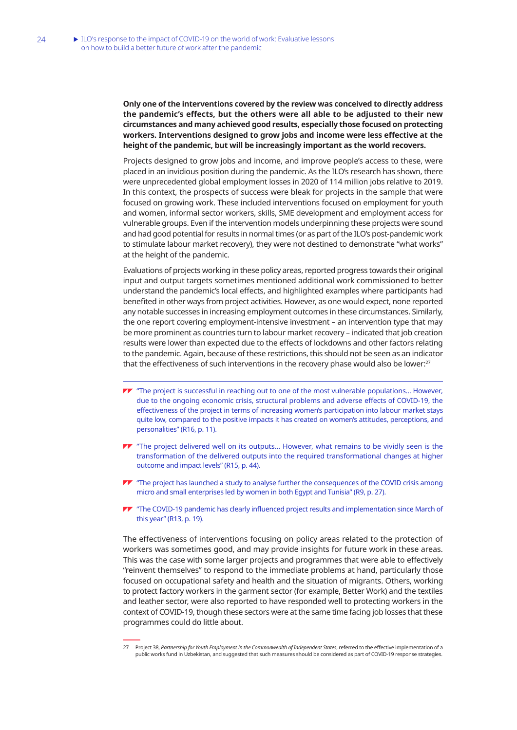**Only one of the interventions covered by the review was conceived to directly address the pandemic's effects, but the others were all able to be adjusted to their new circumstances and many achieved good results, especially those focused on protecting workers. Interventions designed to grow jobs and income were less effective at the height of the pandemic, but will be increasingly important as the world recovers.** 

Projects designed to grow jobs and income, and improve people's access to these, were placed in an invidious position during the pandemic. As the ILO's research has shown, there were unprecedented global employment losses in 2020 of 114 million jobs relative to 2019. In this context, the prospects of success were bleak for projects in the sample that were focused on growing work. These included interventions focused on employment for youth and women, informal sector workers, skills, SME development and employment access for vulnerable groups. Even if the intervention models underpinning these projects were sound and had good potential for results in normal times (or as part of the ILO's post-pandemic work to stimulate labour market recovery), they were not destined to demonstrate "what works" at the height of the pandemic.

Evaluations of projects working in these policy areas, reported progress towards their original input and output targets sometimes mentioned additional work commissioned to better understand the pandemic's local effects, and highlighted examples where participants had benefited in other ways from project activities. However, as one would expect, none reported any notable successes in increasing employment outcomes in these circumstances. Similarly, the one report covering employment-intensive investment – an intervention type that may be more prominent as countries turn to labour market recovery – indicated that job creation results were lower than expected due to the effects of lockdowns and other factors relating to the pandemic. Again, because of these restrictions, this should not be seen as an indicator that the effectiveness of such interventions in the recovery phase would also be lower:<sup>27</sup>

- TT "The project is successful in reaching out to one of the most vulnerable populations... However, due to the ongoing economic crisis, structural problems and adverse effects of COVID-19, the effectiveness of the project in terms of increasing women's participation into labour market stays quite low, compared to the positive impacts it has created on women's attitudes, perceptions, and personalities" (R16, p. 11).
- TT "The project delivered well on its outputs... However, what remains to be vividly seen is the transformation of the delivered outputs into the required transformational changes at higher outcome and impact levels" (R15, p. 44).
- $\blacktriangledown$  "The project has launched a study to analyse further the consequences of the COVID crisis among micro and small enterprises led by women in both Egypt and Tunisia" (R9, p. 27).
- **TV** "The COVID-19 pandemic has clearly influenced project results and implementation since March of this year" (R13, p. 19).

The effectiveness of interventions focusing on policy areas related to the protection of workers was sometimes good, and may provide insights for future work in these areas. This was the case with some larger projects and programmes that were able to effectively "reinvent themselves" to respond to the immediate problems at hand, particularly those focused on occupational safety and health and the situation of migrants. Others, working to protect factory workers in the garment sector (for example, Better Work) and the textiles and leather sector, were also reported to have responded well to protecting workers in the context of COVID-19, though these sectors were at the same time facing job losses that these programmes could do little about.

<sup>27</sup> Project 38, *Partnership for Youth Employment in the Commonwealth of Independent States*, referred to the effective implementation of a public works fund in Uzbekistan, and suggested that such measures should be considered as part of COVID-19 response strategies.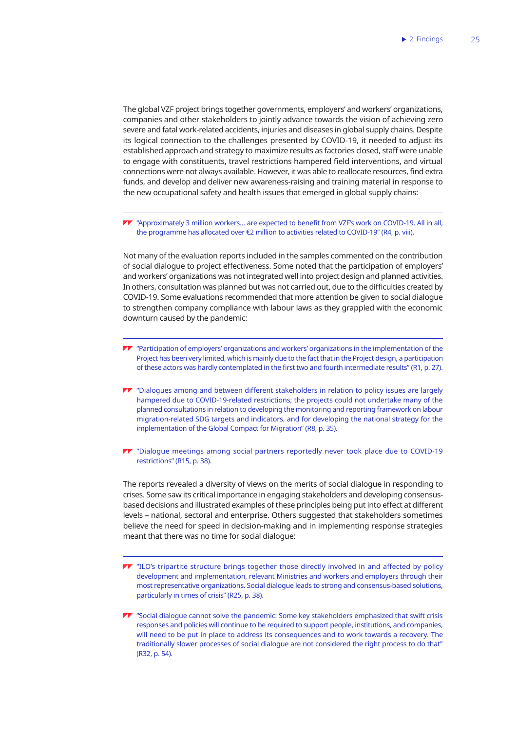The global VZF project brings together governments, employers' and workers' organizations, companies and other stakeholders to jointly advance towards the vision of achieving zero severe and fatal work-related accidents, injuries and diseases in global supply chains. Despite its logical connection to the challenges presented by COVID-19, it needed to adjust its established approach and strategy to maximize results as factories closed, staff were unable to engage with constituents, travel restrictions hampered field interventions, and virtual connections were not always available. However, it was able to reallocate resources, find extra funds, and develop and deliver new awareness-raising and training material in response to the new occupational safety and health issues that emerged in global supply chains:

"Approximately 3 million workers… are expected to benefit from VZF's work on COVID-19. All in all, the programme has allocated over €2 million to activities related to COVID-19" (R4, p. viii).

Not many of the evaluation reports included in the samples commented on the contribution of social dialogue to project effectiveness. Some noted that the participation of employers' and workers' organizations was not integrated well into project design and planned activities. In others, consultation was planned but was not carried out, due to the difficulties created by COVID-19. Some evaluations recommended that more attention be given to social dialogue to strengthen company compliance with labour laws as they grappled with the economic downturn caused by the pandemic:

- $\blacktriangleright\blacktriangleright$  "Participation of employers' organizations and workers' organizations in the implementation of the Project has been very limited, which is mainly due to the fact that in the Project design, a participation of these actors was hardly contemplated in the first two and fourth intermediate results" (R1, p. 27).
- "Dialogues among and between different stakeholders in relation to policy issues are largely hampered due to COVID-19-related restrictions; the projects could not undertake many of the planned consultations in relation to developing the monitoring and reporting framework on labour migration-related SDG targets and indicators, and for developing the national strategy for the implementation of the Global Compact for Migration" (R8, p. 35).
- "Dialogue meetings among social partners reportedly never took place due to COVID-19 restrictions" (R15, p. 38).

The reports revealed a diversity of views on the merits of social dialogue in responding to crises. Some saw its critical importance in engaging stakeholders and developing consensusbased decisions and illustrated examples of these principles being put into effect at different levels – national, sectoral and enterprise. Others suggested that stakeholders sometimes believe the need for speed in decision-making and in implementing response strategies meant that there was no time for social dialogue:

- **TV** "ILO's tripartite structure brings together those directly involved in and affected by policy development and implementation, relevant Ministries and workers and employers through their most representative organizations. Social dialogue leads to strong and consensus-based solutions, particularly in times of crisis" (R25, p. 38).
- $\blacktriangledown$  "Social dialogue cannot solve the pandemic: Some key stakeholders emphasized that swift crisis responses and policies will continue to be required to support people, institutions, and companies, will need to be put in place to address its consequences and to work towards a recovery. The traditionally slower processes of social dialogue are not considered the right process to do that" (R32, p. 54).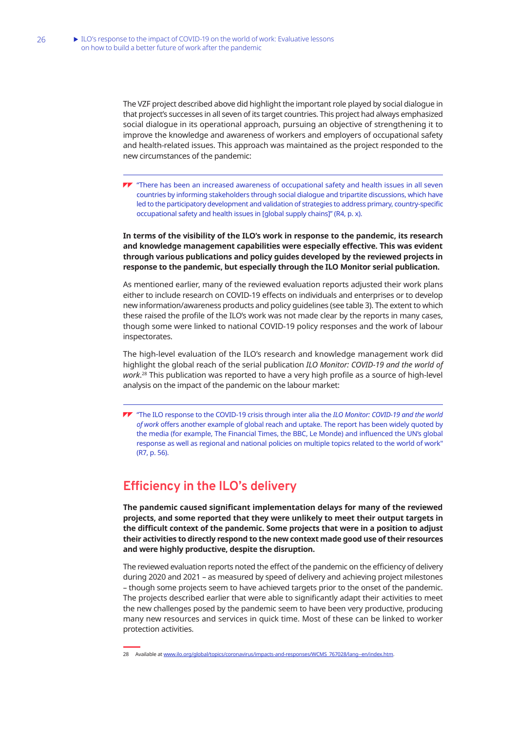<span id="page-36-0"></span>The VZF project described above did highlight the important role played by social dialogue in that project's successes in all seven of its target countries. This project had always emphasized social dialogue in its operational approach, pursuing an objective of strengthening it to improve the knowledge and awareness of workers and employers of occupational safety and health-related issues. This approach was maintained as the project responded to the new circumstances of the pandemic:

**TV** "There has been an increased awareness of occupational safety and health issues in all seven countries by informing stakeholders through social dialogue and tripartite discussions, which have led to the participatory development and validation of strategies to address primary, country-specific occupational safety and health issues in [global supply chains]" (R4, p. x).

**In terms of the visibility of the ILO's work in response to the pandemic, its research and knowledge management capabilities were especially effective. This was evident through various publications and policy guides developed by the reviewed projects in response to the pandemic, but especially through the ILO Monitor serial publication.**

As mentioned earlier, many of the reviewed evaluation reports adjusted their work plans either to include research on COVID-19 effects on individuals and enterprises or to develop new information/awareness products and policy guidelines (see table 3). The extent to which these raised the profile of the ILO's work was not made clear by the reports in many cases, though some were linked to national COVID-19 policy responses and the work of labour inspectorates.

The high-level evaluation of the ILO's research and knowledge management work did highlight the global reach of the serial publication *ILO Monitor: COVID-19 and the world of work*. <sup>28</sup> This publication was reported to have a very high profile as a source of high-level analysis on the impact of the pandemic on the labour market:

"The ILO response to the COVID-19 crisis through inter alia the *ILO Monitor: COVID-19 and the world of work* offers another example of global reach and uptake. The report has been widely quoted by the media (for example, The Financial Times, the BBC, Le Monde) and influenced the UN's global response as well as regional and national policies on multiple topics related to the world of work" (R7, p. 56).

## **Efficiency in the ILO's delivery**

**The pandemic caused significant implementation delays for many of the reviewed projects, and some reported that they were unlikely to meet their output targets in the difficult context of the pandemic. Some projects that were in a position to adjust their activities to directly respond to the new context made good use of their resources and were highly productive, despite the disruption.** 

The reviewed evaluation reports noted the effect of the pandemic on the efficiency of delivery during 2020 and 2021 – as measured by speed of delivery and achieving project milestones – though some projects seem to have achieved targets prior to the onset of the pandemic. The projects described earlier that were able to significantly adapt their activities to meet the new challenges posed by the pandemic seem to have been very productive, producing many new resources and services in quick time. Most of these can be linked to worker protection activities.

<sup>28</sup> Available at [www.ilo.org/global/topics/coronavirus/impacts-and-responses/WCMS\\_767028/lang--en/index.htm](http://www.ilo.org/global/topics/coronavirus/impacts-and-responses/WCMS_767028/lang--en/index.htm).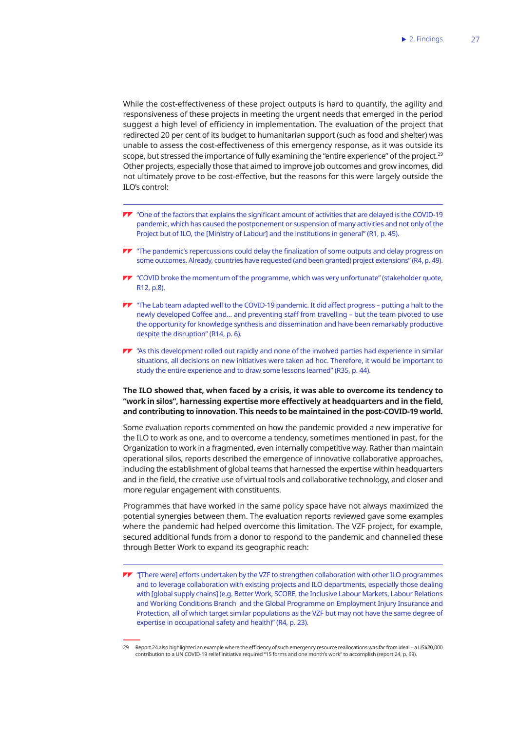While the cost-effectiveness of these project outputs is hard to quantify, the agility and responsiveness of these projects in meeting the urgent needs that emerged in the period suggest a high level of efficiency in implementation. The evaluation of the project that redirected 20 per cent of its budget to humanitarian support (such as food and shelter) was unable to assess the cost-effectiveness of this emergency response, as it was outside its scope, but stressed the importance of fully examining the "entire experience" of the project.<sup>29</sup> Other projects, especially those that aimed to improve job outcomes and grow incomes, did not ultimately prove to be cost-effective, but the reasons for this were largely outside the ILO's control:

- "One of the factors that explains the significant amount of activities that are delayed is the COVID-19 pandemic, which has caused the postponement or suspension of many activities and not only of the Project but of ILO, the [Ministry of Labour] and the institutions in general" (R1, p. 45).
- $\blacktriangledown$  "The pandemic's repercussions could delay the finalization of some outputs and delay progress on some outcomes. Already, countries have requested (and been granted) project extensions" (R4, p. 49).
- "COVID broke the momentum of the programme, which was very unfortunate" (stakeholder quote, R12, p.8).
- $\blacktriangledown$  "The Lab team adapted well to the COVID-19 pandemic. It did affect progress putting a halt to the newly developed Coffee and… and preventing staff from travelling – but the team pivoted to use the opportunity for knowledge synthesis and dissemination and have been remarkably productive despite the disruption" (R14, p. 6).
- $\blacktriangledown$  "As this development rolled out rapidly and none of the involved parties had experience in similar situations, all decisions on new initiatives were taken ad hoc. Therefore, it would be important to study the entire experience and to draw some lessons learned" (R35, p. 44).

#### **The ILO showed that, when faced by a crisis, it was able to overcome its tendency to "work in silos", harnessing expertise more effectively at headquarters and in the field, and contributing to innovation. This needs to be maintained in the post-COVID-19 world.**

Some evaluation reports commented on how the pandemic provided a new imperative for the ILO to work as one, and to overcome a tendency, sometimes mentioned in past, for the Organization to work in a fragmented, even internally competitive way. Rather than maintain operational silos, reports described the emergence of innovative collaborative approaches, including the establishment of global teams that harnessed the expertise within headquarters and in the field, the creative use of virtual tools and collaborative technology, and closer and more regular engagement with constituents.

Programmes that have worked in the same policy space have not always maximized the potential synergies between them. The evaluation reports reviewed gave some examples where the pandemic had helped overcome this limitation. The VZF project, for example, secured additional funds from a donor to respond to the pandemic and channelled these through Better Work to expand its geographic reach:

- $\blacktriangledown$  "There werel efforts undertaken by the VZF to strengthen collaboration with other ILO programmes and to leverage collaboration with existing projects and ILO departments, especially those dealing with [global supply chains] (e.g. Better Work, SCORE, the Inclusive Labour Markets, Labour Relations and Working Conditions Branch and the Global Programme on Employment Injury Insurance and Protection, all of which target similar populations as the VZF but may not have the same degree of expertise in occupational safety and health)" (R4, p. 23).
- 29 Report 24 also highlighted an example where the efficiency of such emergency resource reallocations was far from ideal a US\$20,000 contribution to a UN COVID-19 relief initiative required "15 forms and one month's work" to accomplish (report 24, p. 69).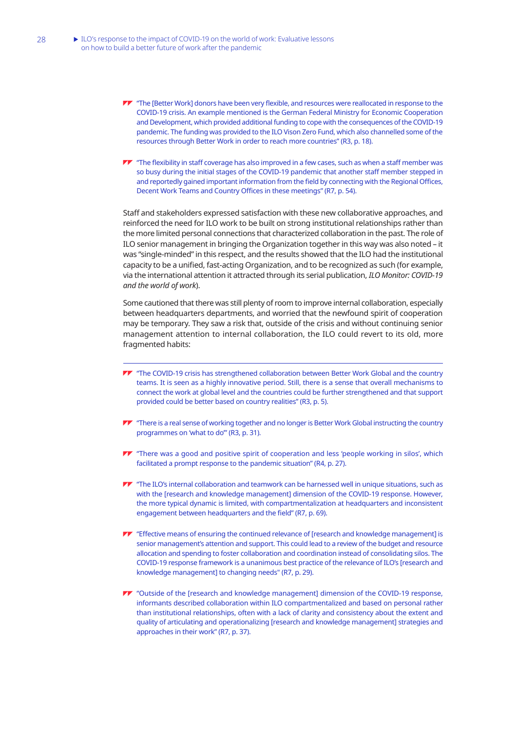- TT "The [Better Work] donors have been very flexible, and resources were reallocated in response to the COVID-19 crisis. An example mentioned is the German Federal Ministry for Economic Cooperation and Development, which provided additional funding to cope with the consequences of the COVID-19 pandemic. The funding was provided to the ILO Vison Zero Fund, which also channelled some of the resources through Better Work in order to reach more countries" (R3, p. 18).
- **TV** "The flexibility in staff coverage has also improved in a few cases, such as when a staff member was so busy during the initial stages of the COVID-19 pandemic that another staff member stepped in and reportedly gained important information from the field by connecting with the Regional Offices, Decent Work Teams and Country Offices in these meetings" (R7, p. 54).

Staff and stakeholders expressed satisfaction with these new collaborative approaches, and reinforced the need for ILO work to be built on strong institutional relationships rather than the more limited personal connections that characterized collaboration in the past. The role of ILO senior management in bringing the Organization together in this way was also noted – it was "single-minded" in this respect, and the results showed that the ILO had the institutional capacity to be a unified, fast-acting Organization, and to be recognized as such (for example, via the international attention it attracted through its serial publication, *ILO Monitor: COVID-19 and the world of work*).

Some cautioned that there was still plenty of room to improve internal collaboration, especially between headquarters departments, and worried that the newfound spirit of cooperation may be temporary. They saw a risk that, outside of the crisis and without continuing senior management attention to internal collaboration, the ILO could revert to its old, more fragmented habits:

- **TT** "The COVID-19 crisis has strengthened collaboration between Better Work Global and the country teams. It is seen as a highly innovative period. Still, there is a sense that overall mechanisms to connect the work at global level and the countries could be further strengthened and that support provided could be better based on country realities" (R3, p. 5).
- $\blacktriangledown$  "There is a real sense of working together and no longer is Better Work Global instructing the country programmes on 'what to do'" (R3, p. 31).
- **TV** "There was a good and positive spirit of cooperation and less 'people working in silos', which facilitated a prompt response to the pandemic situation" (R4, p. 27).
- $\blacktriangleright$  "The ILO's internal collaboration and teamwork can be harnessed well in unique situations, such as with the [research and knowledge management] dimension of the COVID-19 response. However, the more typical dynamic is limited, with compartmentalization at headquarters and inconsistent engagement between headquarters and the field" (R7, p. 69).
- **TV** "Effective means of ensuring the continued relevance of [research and knowledge management] is senior management's attention and support. This could lead to a review of the budget and resource allocation and spending to foster collaboration and coordination instead of consolidating silos. The COVID-19 response framework is a unanimous best practice of the relevance of ILO's [research and knowledge management] to changing needs" (R7, p. 29).
- "Outside of the [research and knowledge management] dimension of the COVID-19 response, informants described collaboration within ILO compartmentalized and based on personal rather than institutional relationships, often with a lack of clarity and consistency about the extent and quality of articulating and operationalizing [research and knowledge management] strategies and approaches in their work" (R7, p. 37).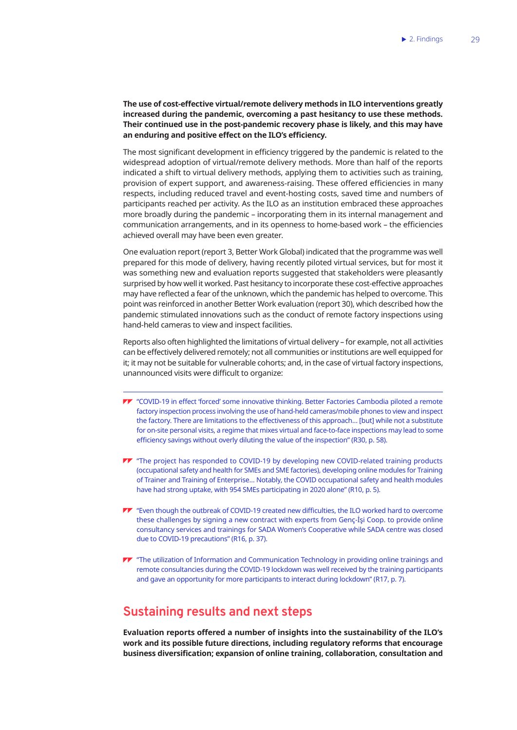### <span id="page-39-0"></span>**The use of cost-effective virtual/remote delivery methods in ILO interventions greatly increased during the pandemic, overcoming a past hesitancy to use these methods. Their continued use in the post-pandemic recovery phase is likely, and this may have an enduring and positive effect on the ILO's efficiency.**

The most significant development in efficiency triggered by the pandemic is related to the widespread adoption of virtual/remote delivery methods. More than half of the reports indicated a shift to virtual delivery methods, applying them to activities such as training, provision of expert support, and awareness-raising. These offered efficiencies in many respects, including reduced travel and event-hosting costs, saved time and numbers of participants reached per activity. As the ILO as an institution embraced these approaches more broadly during the pandemic – incorporating them in its internal management and communication arrangements, and in its openness to home-based work – the efficiencies achieved overall may have been even greater.

One evaluation report (report 3, Better Work Global) indicated that the programme was well prepared for this mode of delivery, having recently piloted virtual services, but for most it was something new and evaluation reports suggested that stakeholders were pleasantly surprised by how well it worked. Past hesitancy to incorporate these cost-effective approaches may have reflected a fear of the unknown, which the pandemic has helped to overcome. This point was reinforced in another Better Work evaluation (report 30), which described how the pandemic stimulated innovations such as the conduct of remote factory inspections using hand-held cameras to view and inspect facilities.

Reports also often highlighted the limitations of virtual delivery – for example, not all activities can be effectively delivered remotely; not all communities or institutions are well equipped for it; it may not be suitable for vulnerable cohorts; and, in the case of virtual factory inspections, unannounced visits were difficult to organize:

- "COVID-19 in effect 'forced' some innovative thinking. Better Factories Cambodia piloted a remote factory inspection process involving the use of hand-held cameras/mobile phones to view and inspect the factory. There are limitations to the effectiveness of this approach… [but] while not a substitute for on-site personal visits, a regime that mixes virtual and face-to-face inspections may lead to some efficiency savings without overly diluting the value of the inspection" (R30, p. 58).
- **TT** "The project has responded to COVID-19 by developing new COVID-related training products (occupational safety and health for SMEs and SME factories), developing online modules for Training of Trainer and Training of Enterprise… Notably, the COVID occupational safety and health modules have had strong uptake, with 954 SMEs participating in 2020 alone" (R10, p. 5).
- "Even though the outbreak of COVID-19 created new difficulties, the ILO worked hard to overcome these challenges by signing a new contract with experts from Genç-İşi Coop. to provide online consultancy services and trainings for SADA Women's Cooperative while SADA centre was closed due to COVID-19 precautions" (R16, p. 37).
- **TV** "The utilization of Information and Communication Technology in providing online trainings and remote consultancies during the COVID-19 lockdown was well received by the training participants and gave an opportunity for more participants to interact during lockdown" (R17, p. 7).

## **Sustaining results and next steps**

**Evaluation reports offered a number of insights into the sustainability of the ILO's work and its possible future directions, including regulatory reforms that encourage business diversification; expansion of online training, collaboration, consultation and**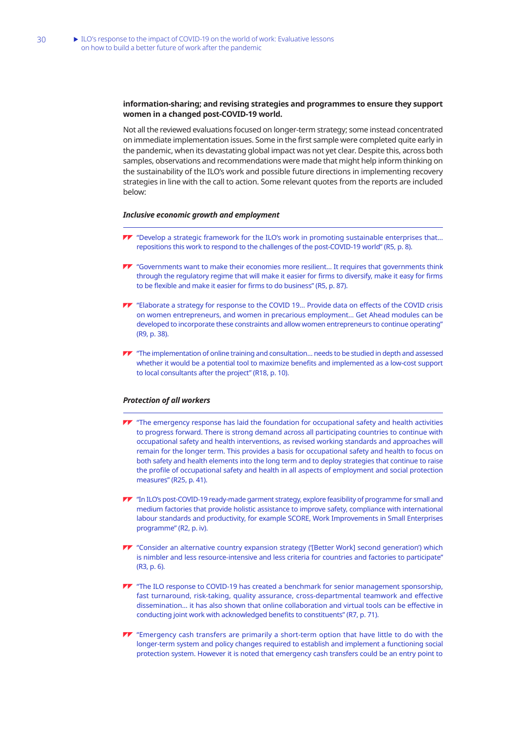#### **information-sharing; and revising strategies and programmes to ensure they support women in a changed post-COVID-19 world.**

Not all the reviewed evaluations focused on longer-term strategy; some instead concentrated on immediate implementation issues. Some in the first sample were completed quite early in the pandemic, when its devastating global impact was not yet clear. Despite this, across both samples, observations and recommendations were made that might help inform thinking on the sustainability of the ILO's work and possible future directions in implementing recovery strategies in line with the call to action. Some relevant quotes from the reports are included below:

#### *Inclusive economic growth and employment*

- "Develop a strategic framework for the ILO's work in promoting sustainable enterprises that… repositions this work to respond to the challenges of the post-COVID-19 world" (R5, p. 8).
- "Governments want to make their economies more resilient… It requires that governments think through the regulatory regime that will make it easier for firms to diversify, make it easy for firms to be flexible and make it easier for firms to do business" (R5, p. 87).
- **TT** "Elaborate a strategy for response to the COVID 19... Provide data on effects of the COVID crisis on women entrepreneurs, and women in precarious employment… Get Ahead modules can be developed to incorporate these constraints and allow women entrepreneurs to continue operating" (R9, p. 38).
- TT "The implementation of online training and consultation... needs to be studied in depth and assessed whether it would be a potential tool to maximize benefits and implemented as a low-cost support to local consultants after the project" (R18, p. 10).

#### *Protection of all workers*

- **TV** "The emergency response has laid the foundation for occupational safety and health activities to progress forward. There is strong demand across all participating countries to continue with occupational safety and health interventions, as revised working standards and approaches will remain for the longer term. This provides a basis for occupational safety and health to focus on both safety and health elements into the long term and to deploy strategies that continue to raise the profile of occupational safety and health in all aspects of employment and social protection measures" (R25, p. 41).
- "In ILO's post-COVID-19 ready-made garment strategy, explore feasibility of programme for small and medium factories that provide holistic assistance to improve safety, compliance with international labour standards and productivity, for example SCORE, Work Improvements in Small Enterprises programme" (R2, p. iv).
- **TV** "Consider an alternative country expansion strategy ('[Better Work] second generation') which is nimbler and less resource-intensive and less criteria for countries and factories to participate" (R3, p. 6).
- **TV** "The ILO response to COVID-19 has created a benchmark for senior management sponsorship, fast turnaround, risk-taking, quality assurance, cross-departmental teamwork and effective dissemination... it has also shown that online collaboration and virtual tools can be effective in conducting joint work with acknowledged benefits to constituents" (R7, p. 71).
- **TV** "Emergency cash transfers are primarily a short-term option that have little to do with the longer-term system and policy changes required to establish and implement a functioning social protection system. However it is noted that emergency cash transfers could be an entry point to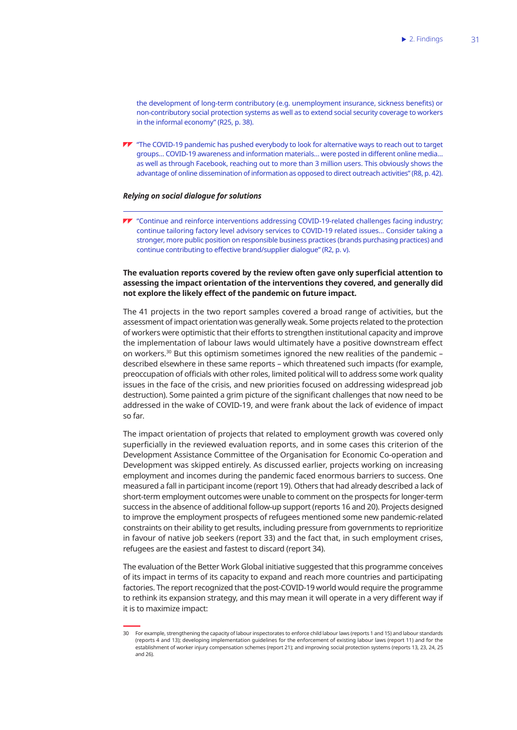the development of long-term contributory (e.g. unemployment insurance, sickness benefits) or non-contributory social protection systems as well as to extend social security coverage to workers in the informal economy" (R25, p. 38).

TT "The COVID-19 pandemic has pushed everybody to look for alternative ways to reach out to target groups… COVID-19 awareness and information materials… were posted in different online media… as well as through Facebook, reaching out to more than 3 million users. This obviously shows the advantage of online dissemination of information as opposed to direct outreach activities" (R8, p. 42).

#### *Relying on social dialogue for solutions*

**TV** "Continue and reinforce interventions addressing COVID-19-related challenges facing industry; continue tailoring factory level advisory services to COVID-19 related issues… Consider taking a stronger, more public position on responsible business practices (brands purchasing practices) and continue contributing to effective brand/supplier dialogue" (R2, p. v).

### **The evaluation reports covered by the review often gave only superficial attention to assessing the impact orientation of the interventions they covered, and generally did not explore the likely effect of the pandemic on future impact.**

The 41 projects in the two report samples covered a broad range of activities, but the assessment of impact orientation was generally weak. Some projects related to the protection of workers were optimistic that their efforts to strengthen institutional capacity and improve the implementation of labour laws would ultimately have a positive downstream effect on workers.<sup>30</sup> But this optimism sometimes ignored the new realities of the pandemic – described elsewhere in these same reports – which threatened such impacts (for example, preoccupation of officials with other roles, limited political will to address some work quality issues in the face of the crisis, and new priorities focused on addressing widespread job destruction). Some painted a grim picture of the significant challenges that now need to be addressed in the wake of COVID-19, and were frank about the lack of evidence of impact so far.

The impact orientation of projects that related to employment growth was covered only superficially in the reviewed evaluation reports, and in some cases this criterion of the Development Assistance Committee of the Organisation for Economic Co-operation and Development was skipped entirely. As discussed earlier, projects working on increasing employment and incomes during the pandemic faced enormous barriers to success. One measured a fall in participant income (report 19). Others that had already described a lack of short-term employment outcomes were unable to comment on the prospects for longer-term success in the absence of additional follow-up support (reports 16 and 20). Projects designed to improve the employment prospects of refugees mentioned some new pandemic-related constraints on their ability to get results, including pressure from governments to reprioritize in favour of native job seekers (report 33) and the fact that, in such employment crises, refugees are the easiest and fastest to discard (report 34).

The evaluation of the Better Work Global initiative suggested that this programme conceives of its impact in terms of its capacity to expand and reach more countries and participating factories. The report recognized that the post-COVID-19 world would require the programme to rethink its expansion strategy, and this may mean it will operate in a very different way if it is to maximize impact:

<sup>30</sup> For example, strengthening the capacity of labour inspectorates to enforce child labour laws (reports 1 and 15) and labour standards (reports 4 and 13); developing implementation guidelines for the enforcement of existing labour laws (report 11) and for the establishment of worker injury compensation schemes (report 21); and improving social protection systems (reports 13, 23, 24, 25 and 26).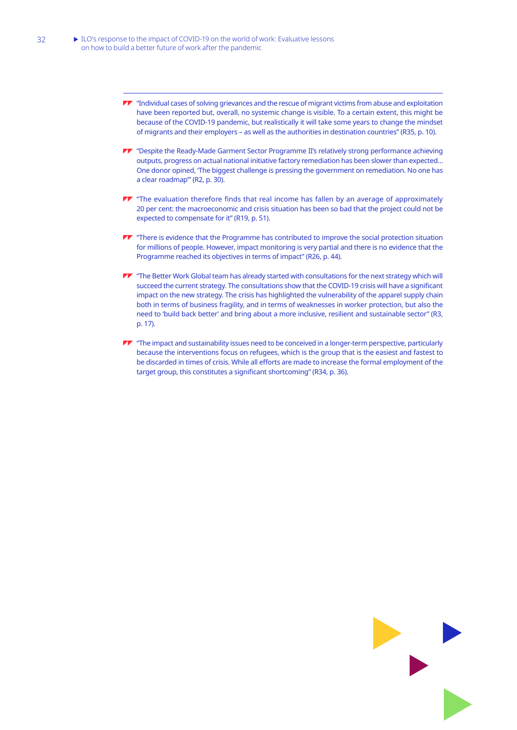- "Individual cases of solving grievances and the rescue of migrant victims from abuse and exploitation have been reported but, overall, no systemic change is visible. To a certain extent, this might be because of the COVID-19 pandemic, but realistically it will take some years to change the mindset of migrants and their employers – as well as the authorities in destination countries" (R35, p. 10).
- "Despite the Ready-Made Garment Sector Programme II's relatively strong performance achieving outputs, progress on actual national initiative factory remediation has been slower than expected… One donor opined, 'The biggest challenge is pressing the government on remediation. No one has a clear roadmap'" (R2, p. 30).
- **TV** "The evaluation therefore finds that real income has fallen by an average of approximately 20 per cent: the macroeconomic and crisis situation has been so bad that the project could not be expected to compensate for it" (R19, p. 51).
- **TV** "There is evidence that the Programme has contributed to improve the social protection situation for millions of people. However, impact monitoring is very partial and there is no evidence that the Programme reached its objectives in terms of impact" (R26, p. 44).
- **TV** "The Better Work Global team has already started with consultations for the next strategy which will succeed the current strategy. The consultations show that the COVID-19 crisis will have a significant impact on the new strategy. The crisis has highlighted the vulnerability of the apparel supply chain both in terms of business fragility, and in terms of weaknesses in worker protection, but also the need to 'build back better' and bring about a more inclusive, resilient and sustainable sector" (R3, p. 17).
- The impact and sustainability issues need to be conceived in a longer-term perspective, particularly because the interventions focus on refugees, which is the group that is the easiest and fastest to be discarded in times of crisis. While all efforts are made to increase the formal employment of the target group, this constitutes a significant shortcoming" (R34, p. 36).

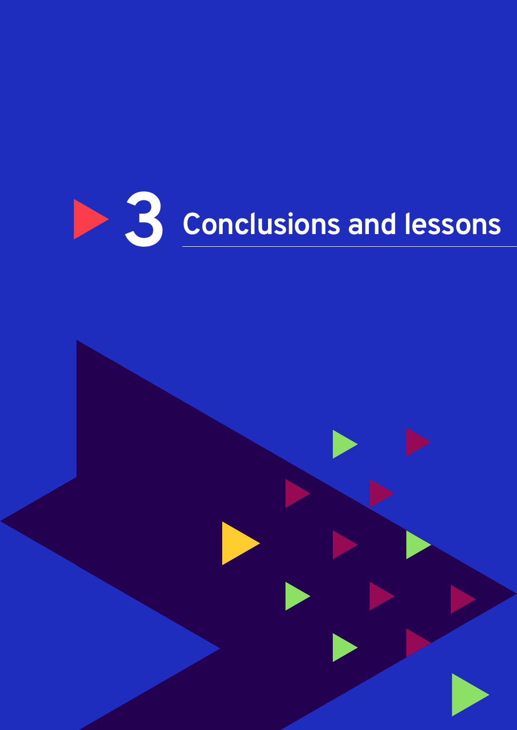

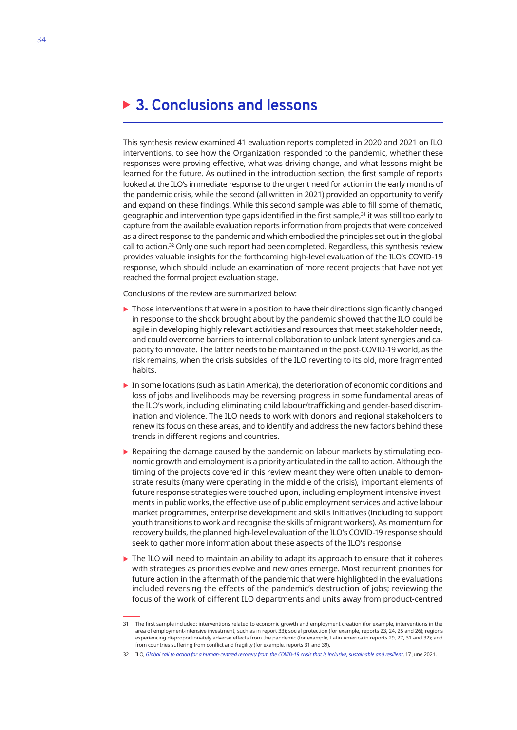## <span id="page-44-0"></span>**3. Conclusions and lessons**

This synthesis review examined 41 evaluation reports completed in 2020 and 2021 on ILO interventions, to see how the Organization responded to the pandemic, whether these responses were proving effective, what was driving change, and what lessons might be learned for the future. As outlined in the introduction section, the first sample of reports looked at the ILO's immediate response to the urgent need for action in the early months of the pandemic crisis, while the second (all written in 2021) provided an opportunity to verify and expand on these findings. While this second sample was able to fill some of thematic, geographic and intervention type gaps identified in the first sample,<sup>31</sup> it was still too early to capture from the available evaluation reports information from projects that were conceived as a direct response to the pandemic and which embodied the principles set out in the global call to action.<sup>32</sup> Only one such report had been completed. Regardless, this synthesis review provides valuable insights for the forthcoming high-level evaluation of the ILO's COVID-19 response, which should include an examination of more recent projects that have not yet reached the formal project evaluation stage.

Conclusions of the review are summarized below:

- $\triangleright$  Those interventions that were in a position to have their directions significantly changed in response to the shock brought about by the pandemic showed that the ILO could be agile in developing highly relevant activities and resources that meet stakeholder needs, and could overcome barriers to internal collaboration to unlock latent synergies and capacity to innovate. The latter needs to be maintained in the post-COVID-19 world, as the risk remains, when the crisis subsides, of the ILO reverting to its old, more fragmented habits.
- $\triangleright$  In some locations (such as Latin America), the deterioration of economic conditions and loss of jobs and livelihoods may be reversing progress in some fundamental areas of the ILO's work, including eliminating child labour/trafficking and gender-based discrimination and violence. The ILO needs to work with donors and regional stakeholders to renew its focus on these areas, and to identify and address the new factors behind these trends in different regions and countries.
- $\triangleright$  Repairing the damage caused by the pandemic on labour markets by stimulating economic growth and employment is a priority articulated in the call to action. Although the timing of the projects covered in this review meant they were often unable to demonstrate results (many were operating in the middle of the crisis), important elements of future response strategies were touched upon, including employment-intensive investments in public works, the effective use of public employment services and active labour market programmes, enterprise development and skills initiatives (including to support youth transitions to work and recognise the skills of migrant workers). As momentum for recovery builds, the planned high-level evaluation of the ILO's COVID-19 response should seek to gather more information about these aspects of the ILO's response.
- $\triangleright$  The ILO will need to maintain an ability to adapt its approach to ensure that it coheres with strategies as priorities evolve and new ones emerge. Most recurrent priorities for future action in the aftermath of the pandemic that were highlighted in the evaluations included reversing the effects of the pandemic's destruction of jobs; reviewing the focus of the work of different ILO departments and units away from product-centred

<sup>31</sup> The first sample included: interventions related to economic growth and employment creation (for example, interventions in the area of employment-intensive investment, such as in report 33); social protection (for example, reports 23, 24, 25 and 26); regions experiencing disproportionately adverse effects from the pandemic (for example, Latin America in reports 29, 27, 31 and 32); and from countries suffering from conflict and fragility (for example, reports 31 and 39).

<sup>32</sup> ILO, *[Global call to action for a human-centred recovery from the COVID-19 crisis that is inclusive, sustainable and resilient](https://www.ilo.org/ilc/ILCSessions/109/reports/texts-adopted/WCMS_806092/lang--en/index.htm)*, 17 June 2021.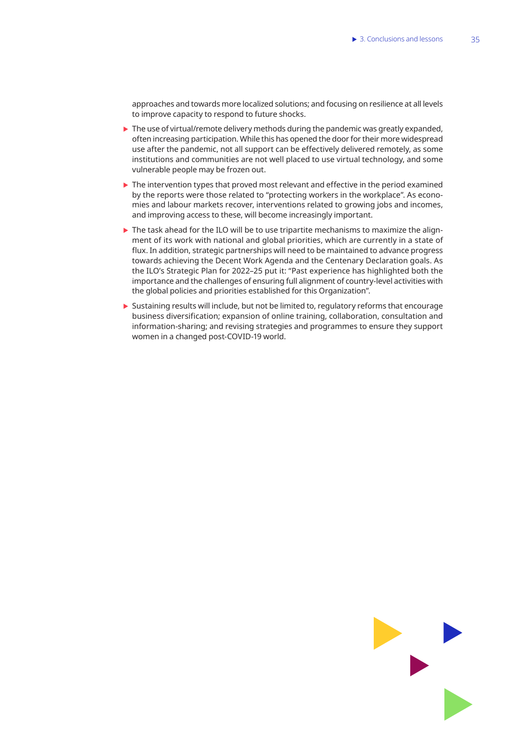approaches and towards more localized solutions; and focusing on resilience at all levels to improve capacity to respond to future shocks.

- $\triangleright$  The use of virtual/remote delivery methods during the pandemic was greatly expanded, often increasing participation. While this has opened the door for their more widespread use after the pandemic, not all support can be effectively delivered remotely, as some institutions and communities are not well placed to use virtual technology, and some vulnerable people may be frozen out.
- $\blacktriangleright$  The intervention types that proved most relevant and effective in the period examined by the reports were those related to "protecting workers in the workplace". As economies and labour markets recover, interventions related to growing jobs and incomes, and improving access to these, will become increasingly important.
- $\triangleright$  The task ahead for the ILO will be to use tripartite mechanisms to maximize the alignment of its work with national and global priorities, which are currently in a state of flux. In addition, strategic partnerships will need to be maintained to advance progress towards achieving the Decent Work Agenda and the Centenary Declaration goals. As the ILO's Strategic Plan for 2022–25 put it: "Past experience has highlighted both the importance and the challenges of ensuring full alignment of country-level activities with the global policies and priorities established for this Organization".
- $\triangleright$  Sustaining results will include, but not be limited to, regulatory reforms that encourage business diversification; expansion of online training, collaboration, consultation and information-sharing; and revising strategies and programmes to ensure they support women in a changed post-COVID-19 world.

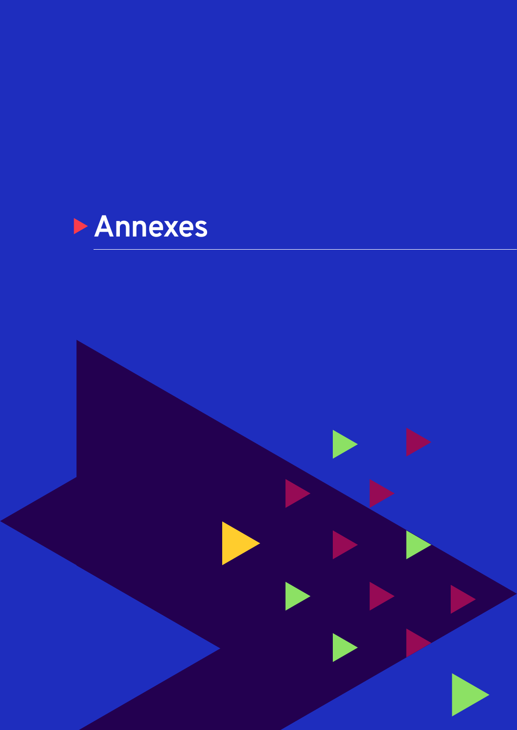

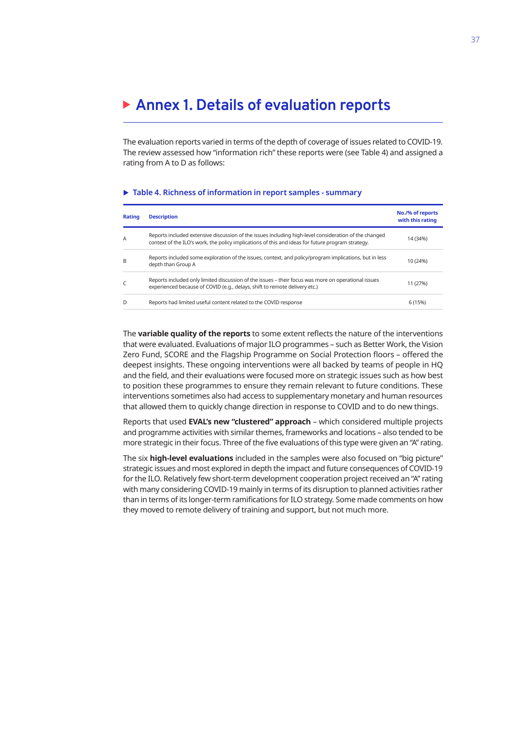## <span id="page-47-0"></span>**Annex 1. Details of evaluation reports**

The evaluation reports varied in terms of the depth of coverage of issues related to COVID-19. The review assessed how "information rich" these reports were (see Table 4) and assigned a rating from A to D as follows:

#### ▶ Table 4. Richness of information in report samples - summary

| Rating | <b>Description</b>                                                                                                                                                                                         | No./% of reports<br>with this rating |
|--------|------------------------------------------------------------------------------------------------------------------------------------------------------------------------------------------------------------|--------------------------------------|
| A      | Reports included extensive discussion of the issues including high-level consideration of the changed<br>context of the ILO's work, the policy implications of this and ideas for future program strategy. | 14 (34%)                             |
| B      | Reports included some exploration of the issues, context, and policy/program implications, but in less<br>depth than Group A                                                                               | 10 (24%)                             |
| C      | Reports included only limited discussion of the issues - their focus was more on operational issues<br>experienced because of COVID (e.g., delays, shift to remote delivery etc.)                          | 11 (27%)                             |
| D      | Reports had limited useful content related to the COVID response                                                                                                                                           | 6 (15%)                              |

The **variable quality of the reports** to some extent reflects the nature of the interventions that were evaluated. Evaluations of major ILO programmes – such as Better Work, the Vision Zero Fund, SCORE and the Flagship Programme on Social Protection floors – offered the deepest insights. These ongoing interventions were all backed by teams of people in HQ and the field, and their evaluations were focused more on strategic issues such as how best to position these programmes to ensure they remain relevant to future conditions. These interventions sometimes also had access to supplementary monetary and human resources that allowed them to quickly change direction in response to COVID and to do new things.

Reports that used **EVAL's new "clustered" approach** – which considered multiple projects and programme activities with similar themes, frameworks and locations – also tended to be more strategic in their focus. Three of the five evaluations of this type were given an "A" rating.

The six **high-level evaluations** included in the samples were also focused on "big picture" strategic issues and most explored in depth the impact and future consequences of COVID-19 for the ILO. Relatively few short-term development cooperation project received an "A" rating with many considering COVID-19 mainly in terms of its disruption to planned activities rather than in terms of its longer-term ramifications for ILO strategy. Some made comments on how they moved to remote delivery of training and support, but not much more.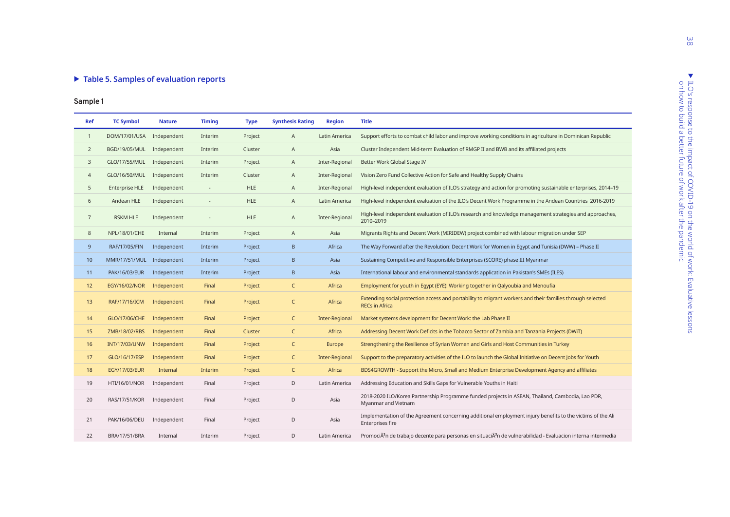#### ▶ Table 5. Samples of evaluation reports

|                | rapic 5: Samples of evaluation reports |               |                          |             |                         |                |                                                                                                                                       |
|----------------|----------------------------------------|---------------|--------------------------|-------------|-------------------------|----------------|---------------------------------------------------------------------------------------------------------------------------------------|
| Sample 1       |                                        |               |                          |             |                         |                |                                                                                                                                       |
| Ref            | <b>TC Symbol</b>                       | <b>Nature</b> | <b>Timing</b>            | <b>Type</b> | <b>Synthesis Rating</b> | <b>Region</b>  | <b>Title</b>                                                                                                                          |
| $\mathbf{1}$   | DOM/17/01/USA Independent              |               | Interim                  | Project     | A                       | Latin America  | Support efforts to combat child labor and improve working conditions in agriculture in Dominican Republic                             |
| $\overline{2}$ | BGD/19/05/MUL                          | Independent   | Interim                  | Cluster     | A                       | Asia           | Cluster Independent Mid-term Evaluation of RMGP II and BWB and its affiliated projects                                                |
| 3              | GLO/17/55/MUL                          | Independent   | Interim                  | Project     | A                       | Inter-Regional | Better Work Global Stage IV                                                                                                           |
| $\overline{4}$ | GLO/16/50/MUL                          | Independent   | Interim                  | Cluster     | A                       | Inter-Regional | Vision Zero Fund Collective Action for Safe and Healthy Supply Chains                                                                 |
| 5              | <b>Enterprise HLE</b>                  | Independent   | $\overline{\phantom{a}}$ | <b>HLE</b>  | A                       | Inter-Regional | High-level independent evaluation of ILO's strategy and action for promoting sustainable enterprises, 2014-19                         |
| 6              | Andean HLE                             | Independent   | $\overline{\phantom{a}}$ | <b>HLE</b>  | A                       | Latin America  | High-level independent evaluation of the ILO's Decent Work Programme in the Andean Countries 2016-2019                                |
| $7^{\circ}$    | <b>RSKM HLE</b>                        | Independent   |                          | <b>HLE</b>  | A                       | Inter-Regional | High-level independent evaluation of ILO's research and knowledge management strategies and approaches,<br>2010-2019                  |
| 8              | NPL/18/01/CHE                          | Internal      | Interim                  | Project     | A                       | Asia           | Migrants Rights and Decent Work (MIRIDEW) project combined with labour migration under SEP                                            |
| 9              | RAF/17/05/FIN                          | Independent   | Interim                  | Project     | B                       | Africa         | The Way Forward after the Revolution: Decent Work for Women in Eqypt and Tunisia (DWW) – Phase II                                     |
| 10             | MMR/17/51/MUL Independent              |               | Interim                  | Project     | B                       | Asia           | Sustaining Competitive and Responsible Enterprises (SCORE) phase III Myanmar                                                          |
| 11             | PAK/16/03/EUR                          | Independent   | Interim                  | Project     | B                       | Asia           | International labour and environmental standards application in Pakistan's SMEs (ILES)                                                |
| 12             | EGY/16/02/NOR                          | Independent   | Final                    | Project     | $\mathsf{C}$            | Africa         | Employment for youth in Egypt (EYE): Working together in Qalyoubia and Menoufia                                                       |
| 13             | RAF/17/16/ICM                          | Independent   | Final                    | Project     | $\mathsf{C}$            | Africa         | Extending social protection access and portability to migrant workers and their families through selected<br><b>RECs in Africa</b>    |
| 14             | GLO/17/06/CHE                          | Independent   | Final                    | Project     | $\mathsf C$             | Inter-Regional | Market systems development for Decent Work: the Lab Phase II                                                                          |
| 15             | ZMB/18/02/RBS                          | Independent   | Final                    | Cluster     | $\mathsf{C}$            | Africa         | Addressing Decent Work Deficits in the Tobacco Sector of Zambia and Tanzania Projects (DWiT)                                          |
| 16             | <b>INT/17/03/UNW</b>                   | Independent   | Final                    | Project     | $\mathsf C$             | Europe         | Strengthening the Resilience of Syrian Women and Girls and Host Communities in Turkey                                                 |
| 17             | GLO/16/17/ESP                          | Independent   | Final                    | Project     | $\mathsf{C}$            | Inter-Regional | Support to the preparatory activities of the ILO to launch the Global Initiative on Decent Jobs for Youth                             |
| 18             | <b>EGY/17/03/EUR</b>                   | Internal      | Interim                  | Project     | $\mathsf{C}$            | Africa         | BDS4GROWTH - Support the Micro, Small and Medium Enterprise Development Agency and affiliates                                         |
| 19             | HTI/16/01/NOR                          | Independent   | Final                    | Project     | D                       | Latin America  | Addressing Education and Skills Gaps for Vulnerable Youths in Haiti                                                                   |
| 20             | RAS/17/51/KOR                          | Independent   | Final                    | Project     | D                       | Asia           | 2018-2020 ILO/Korea Partnership Programme funded projects in ASEAN, Thailand, Cambodia, Lao PDR,<br>Myanmar and Vietnam               |
| 21             | PAK/16/06/DEU                          | Independent   | Final                    | Project     | D                       | Asia           | Implementation of the Agreement concerning additional employment injury benefits to the victims of the Ali<br>Enterprises fire        |
| 22             | <b>BRA/17/51/BRA</b>                   | Internal      | Interim                  | Project     | D                       | Latin America  | PromociÃ <sup>3</sup> n de trabajo decente para personas en situaciÃ <sup>3</sup> n de vulnerabilidad - Evaluacion interna intermedia |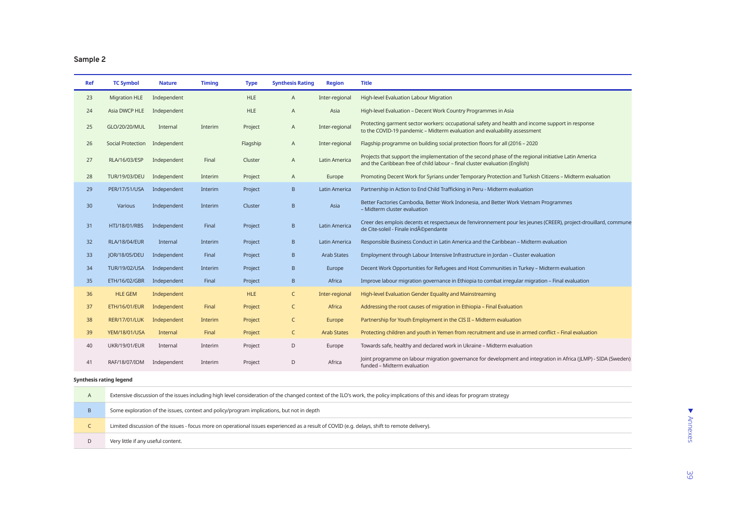## **Sample 2**

| <b>Ref</b> | <b>TC Symbol</b>     | <b>Nature</b> | <b>Timing</b> | <b>Type</b> | <b>Synthesis Rating</b> | <b>Region</b>      | <b>Title</b>                                                                                                                                                                         |
|------------|----------------------|---------------|---------------|-------------|-------------------------|--------------------|--------------------------------------------------------------------------------------------------------------------------------------------------------------------------------------|
| 23         | <b>Migration HLE</b> | Independent   |               | <b>HLE</b>  | A                       | Inter-regional     | High-level Evaluation Labour Migration                                                                                                                                               |
| 24         | Asia DWCP HLE        | Independent   |               | <b>HLE</b>  | A                       | Asia               | High-level Evaluation - Decent Work Country Programmes in Asia                                                                                                                       |
| 25         | GLO/20/20/MUL        | Internal      | Interim       | Project     | A                       | Inter-regional     | Protecting garment sector workers: occupational safety and health and income support in response<br>to the COVID-19 pandemic - Midterm evaluation and evaluability assessment        |
| 26         | Social Protection    | Independent   |               | Flagship    | A                       | Inter-regional     | Flagship programme on building social protection floors for all (2016 - 2020                                                                                                         |
| 27         | RLA/16/03/ESP        | Independent   | Final         | Cluster     | A                       | Latin America      | Projects that support the implementation of the second phase of the regional initiative Latin America<br>and the Caribbean free of child labour - final cluster evaluation (English) |
| 28         | TUR/19/03/DEU        | Independent   | Interim       | Project     | A                       | Europe             | Promoting Decent Work for Syrians under Temporary Protection and Turkish Citizens - Midterm evaluation                                                                               |
| 29         | PER/17/51/USA        | Independent   | Interim       | Project     | B                       | Latin America      | Partnership in Action to End Child Trafficking in Peru - Midterm evaluation                                                                                                          |
| 30         | Various              | Independent   | Interim       | Cluster     | B                       | Asia               | Better Factories Cambodia, Better Work Indonesia, and Better Work Vietnam Programmes<br>- Midterm cluster evaluation                                                                 |
| 31         | HTI/18/01/RBS        | Independent   | Final         | Project     | B                       | Latin America      | Creer des emplois decents et respectueux de l'environnement pour les jeunes (CREER), project-drouillard, commune<br>de Cite-soleil - Finale indépendante                             |
| 32         | <b>RLA/18/04/EUR</b> | Internal      | Interim       | Project     | $\,$ B                  | Latin America      | Responsible Business Conduct in Latin America and the Caribbean - Midterm evaluation                                                                                                 |
| 33         | JOR/18/05/DEU        | Independent   | Final         | Project     | B                       | <b>Arab States</b> | Employment through Labour Intensive Infrastructure in Jordan - Cluster evaluation                                                                                                    |
| 34         | TUR/19/02/USA        | Independent   | Interim       | Project     | B                       | Europe             | Decent Work Opportunities for Refugees and Host Communities in Turkey - Midterm evaluation                                                                                           |
| 35         | ETH/16/02/GBR        | Independent   | Final         | Project     | $\mathsf{B}$            | Africa             | Improve labour migration governance in Ethiopia to combat irregular migration - Final evaluation                                                                                     |
| 36         | <b>HLE GEM</b>       | Independent   |               | <b>HLE</b>  | $\mathsf{C}$            | Inter-regional     | High-level Evaluation Gender Equality and Mainstreaming                                                                                                                              |
| 37         | <b>ETH/16/01/EUR</b> | Independent   | Final         | Project     | $\mathsf{C}$            | Africa             | Addressing the root causes of migration in Ethiopia - Final Evaluation                                                                                                               |
| 38         | <b>RER/17/01/LUK</b> | Independent   | Interim       | Project     | C                       | Europe             | Partnership for Youth Employment in the CIS II - Midterm evaluation                                                                                                                  |
| 39         | <b>YEM/18/01/USA</b> | Internal      | Final         | Project     | $\mathsf{C}$            | <b>Arab States</b> | Protecting children and youth in Yemen from recruitment and use in armed conflict - Final evaluation                                                                                 |
| 40         | <b>UKR/19/01/EUR</b> | Internal      | Interim       | Project     | D                       | Europe             | Towards safe, healthy and declared work in Ukraine - Midterm evaluation                                                                                                              |
| 41         | RAF/18/07/IOM        | Independent   | Interim       | Project     | D                       | Africa             | Joint programme on labour migration governance for development and integration in Africa (JLMP) - SIDA (Sweden)<br>funded - Midterm evaluation                                       |

#### **Synthesis rating legend**

| $\sim$ | Extensive discussion of the issues including high level consideration of the changed context of the ILO's work, the policy implications of this and ideas for program strategy |
|--------|--------------------------------------------------------------------------------------------------------------------------------------------------------------------------------|
|        | Some exploration of the issues, context and policy/program implications, but not in depth                                                                                      |
|        | Limited discussion of the issues - focus more on operational issues experienced as a result of COVID (e.g. delays, shift to remote delivery).                                  |
|        | Very little if any useful content.                                                                                                                                             |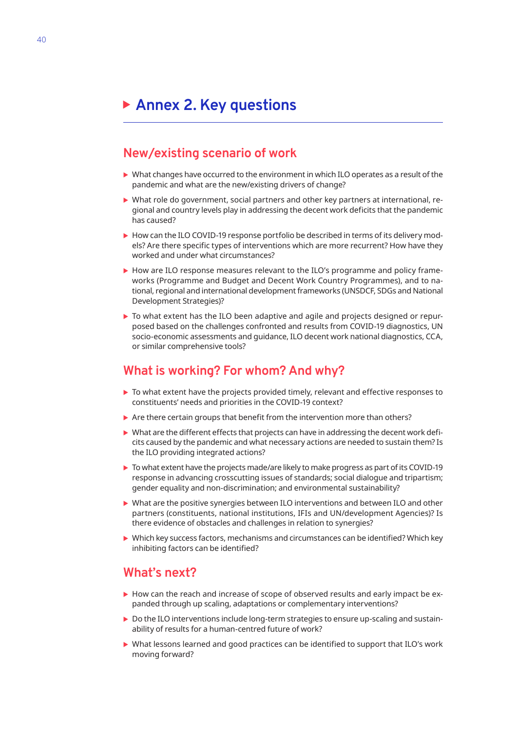## <span id="page-50-0"></span>**Annex 2. Key questions**

## **New/existing scenario of work**

- $\triangleright$  What changes have occurred to the environment in which ILO operates as a result of the pandemic and what are the new/existing drivers of change?
- $\triangleright$  What role do government, social partners and other key partners at international, regional and country levels play in addressing the decent work deficits that the pandemic has caused?
- $\triangleright$  How can the ILO COVID-19 response portfolio be described in terms of its delivery models? Are there specific types of interventions which are more recurrent? How have they worked and under what circumstances?
- $\triangleright$  How are ILO response measures relevant to the ILO's programme and policy frameworks (Programme and Budget and Decent Work Country Programmes), and to national, regional and international development frameworks (UNSDCF, SDGs and National Development Strategies)?
- $\triangleright$  To what extent has the ILO been adaptive and agile and projects designed or repurposed based on the challenges confronted and results from COVID-19 diagnostics, UN socio-economic assessments and guidance, ILO decent work national diagnostics, CCA, or similar comprehensive tools?

## **What is working? For whom? And why?**

- $\triangleright$  To what extent have the projects provided timely, relevant and effective responses to constituents' needs and priorities in the COVID-19 context?
- $\triangleright$  Are there certain groups that benefit from the intervention more than others?
- $\triangleright$  What are the different effects that projects can have in addressing the decent work deficits caused by the pandemic and what necessary actions are needed to sustain them? Is the ILO providing integrated actions?
- $\triangleright$  To what extent have the projects made/are likely to make progress as part of its COVID-19 response in advancing crosscutting issues of standards; social dialogue and tripartism; gender equality and non-discrimination; and environmental sustainability?
- $\triangleright$  What are the positive synergies between ILO interventions and between ILO and other partners (constituents, national institutions, IFIs and UN/development Agencies)? Is there evidence of obstacles and challenges in relation to synergies?
- $\triangleright$  Which key success factors, mechanisms and circumstances can be identified? Which key inhibiting factors can be identified?

## **What's next?**

- $\triangleright$  How can the reach and increase of scope of observed results and early impact be expanded through up scaling, adaptations or complementary interventions?
- $\triangleright$  Do the ILO interventions include long-term strategies to ensure up-scaling and sustainability of results for a human-centred future of work?
- $\triangleright$  What lessons learned and good practices can be identified to support that ILO's work moving forward?